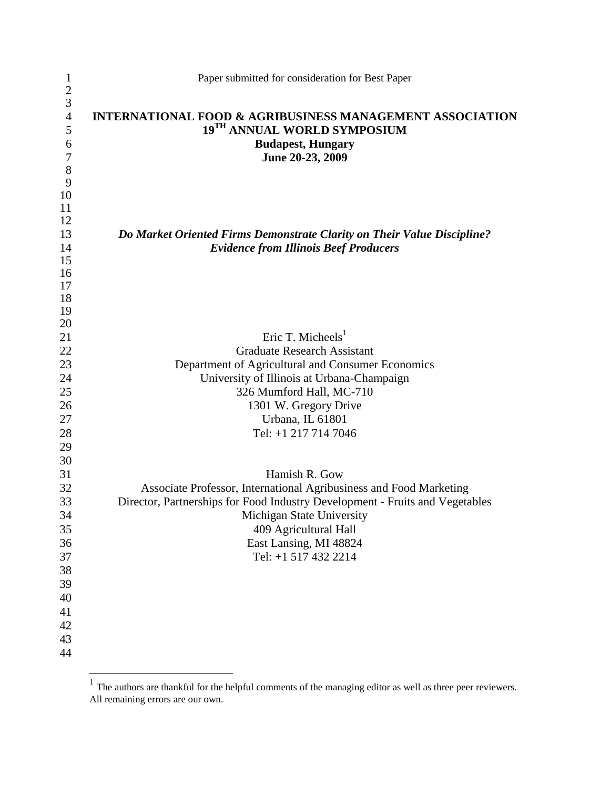| $\mathbf{1}$        | Paper submitted for consideration for Best Paper                                                   |
|---------------------|----------------------------------------------------------------------------------------------------|
| $rac{2}{3}$         |                                                                                                    |
| $\overline{4}$<br>5 | <b>INTERNATIONAL FOOD &amp; AGRIBUSINESS MANAGEMENT ASSOCIATION</b><br>19TH ANNUAL WORLD SYMPOSIUM |
| 6                   | <b>Budapest, Hungary</b>                                                                           |
| $\tau$              | June 20-23, 2009                                                                                   |
| 8                   |                                                                                                    |
| 9                   |                                                                                                    |
| 10                  |                                                                                                    |
| 11                  |                                                                                                    |
| 12                  |                                                                                                    |
| 13                  | Do Market Oriented Firms Demonstrate Clarity on Their Value Discipline?                            |
| 14                  | <b>Evidence from Illinois Beef Producers</b>                                                       |
| 15                  |                                                                                                    |
| 16<br>17            |                                                                                                    |
| 18                  |                                                                                                    |
| 19                  |                                                                                                    |
| 20                  |                                                                                                    |
| 21                  | Eric T. Micheels $1$                                                                               |
| 22                  | <b>Graduate Research Assistant</b>                                                                 |
| 23                  | Department of Agricultural and Consumer Economics                                                  |
| 24                  | University of Illinois at Urbana-Champaign                                                         |
| 25                  | 326 Mumford Hall, MC-710                                                                           |
| 26                  | 1301 W. Gregory Drive                                                                              |
| 27                  | Urbana, IL 61801                                                                                   |
| 28                  | Tel: +1 217 714 7046                                                                               |
| 29                  |                                                                                                    |
| 30                  |                                                                                                    |
| 31                  | Hamish R. Gow                                                                                      |
| 32                  | Associate Professor, International Agribusiness and Food Marketing                                 |
| 33                  | Director, Partnerships for Food Industry Development - Fruits and Vegetables                       |
| 34                  | Michigan State University                                                                          |
| 35                  | 409 Agricultural Hall                                                                              |
| 36                  | East Lansing, MI 48824                                                                             |
| 37                  | Tel: +1 517 432 2214                                                                               |
| 38                  |                                                                                                    |
| 39                  |                                                                                                    |
| 40                  |                                                                                                    |
| 41                  |                                                                                                    |
| 42                  |                                                                                                    |
| 43                  |                                                                                                    |
| 44                  |                                                                                                    |
|                     |                                                                                                    |

<sup>&</sup>lt;sup>1</sup> The authors are thankful for the helpful comments of the managing editor as well as three peer reviewers. All remaining errors are our own.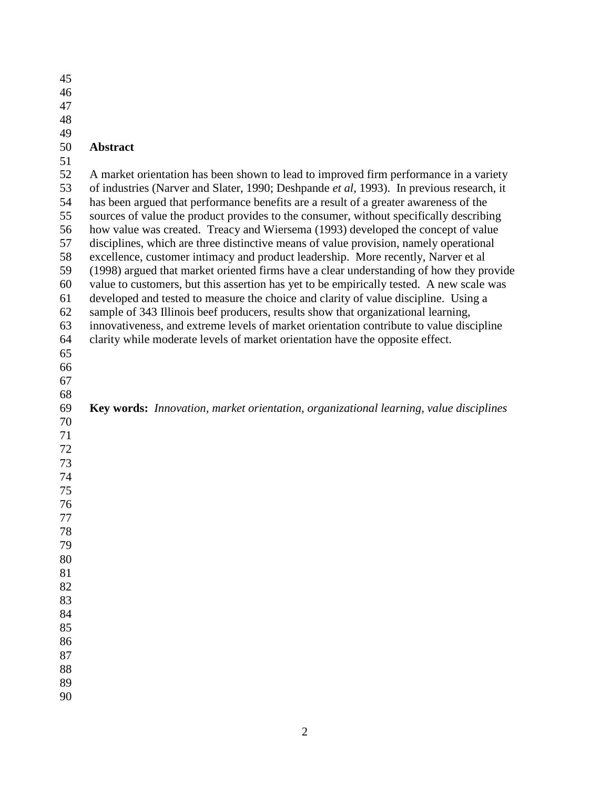| 45 |                                                                                              |
|----|----------------------------------------------------------------------------------------------|
| 46 |                                                                                              |
| 47 |                                                                                              |
| 48 |                                                                                              |
| 49 |                                                                                              |
| 50 | Abstract                                                                                     |
| 51 |                                                                                              |
| 52 | A market orientation has been shown to lead to improved firm performance in a variety        |
| 53 | of industries (Narver and Slater, 1990; Deshpande et al, 1993). In previous research, it     |
| 54 | has been argued that performance benefits are a result of a greater awareness of the         |
|    |                                                                                              |
| 55 | sources of value the product provides to the consumer, without specifically describing       |
| 56 | how value was created. Treacy and Wiersema (1993) developed the concept of value             |
| 57 | disciplines, which are three distinctive means of value provision, namely operational        |
| 58 | excellence, customer intimacy and product leadership. More recently, Narver et al            |
| 59 | (1998) argued that market oriented firms have a clear understanding of how they provide      |
| 60 | value to customers, but this assertion has yet to be empirically tested. A new scale was     |
| 61 | developed and tested to measure the choice and clarity of value discipline. Using a          |
| 62 | sample of 343 Illinois beef producers, results show that organizational learning,            |
| 63 | innovativeness, and extreme levels of market orientation contribute to value discipline      |
| 64 | clarity while moderate levels of market orientation have the opposite effect.                |
| 65 |                                                                                              |
| 66 |                                                                                              |
| 67 |                                                                                              |
| 68 |                                                                                              |
| 69 | <b>Key words:</b> Innovation, market orientation, organizational learning, value disciplines |
| 70 |                                                                                              |
| 71 |                                                                                              |
| 72 |                                                                                              |
| 73 |                                                                                              |
| 74 |                                                                                              |
| 75 |                                                                                              |
| 76 |                                                                                              |
| 77 |                                                                                              |
| 78 |                                                                                              |
| 79 |                                                                                              |
| 80 |                                                                                              |
|    |                                                                                              |
| 81 |                                                                                              |
| 82 |                                                                                              |
| 83 |                                                                                              |
| 84 |                                                                                              |
| 85 |                                                                                              |
| 86 |                                                                                              |
| 87 |                                                                                              |
| 88 |                                                                                              |
| 89 |                                                                                              |
| 90 |                                                                                              |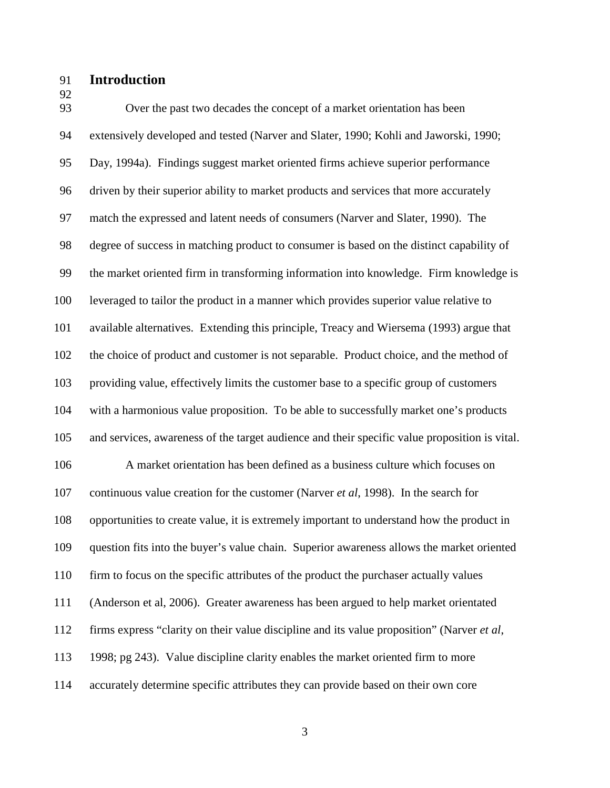91 **Introduction** 

92

93 Over the past two decades the concept of a market orientation has been 94 extensively developed and tested (Narver and Slater, 1990; Kohli and Jaworski, 1990; 95 Day, 1994a). Findings suggest market oriented firms achieve superior performance 96 driven by their superior ability to market products and services that more accurately 97 match the expressed and latent needs of consumers (Narver and Slater, 1990). The 98 degree of success in matching product to consumer is based on the distinct capability of 99 the market oriented firm in transforming information into knowledge. Firm knowledge is 100 leveraged to tailor the product in a manner which provides superior value relative to 101 available alternatives. Extending this principle, Treacy and Wiersema (1993) argue that 102 the choice of product and customer is not separable. Product choice, and the method of 103 providing value, effectively limits the customer base to a specific group of customers 104 with a harmonious value proposition. To be able to successfully market one's products 105 and services, awareness of the target audience and their specific value proposition is vital. 106 A market orientation has been defined as a business culture which focuses on 107 continuous value creation for the customer (Narver *et al*, 1998). In the search for 108 opportunities to create value, it is extremely important to understand how the product in 109 question fits into the buyer's value chain. Superior awareness allows the market oriented 110 firm to focus on the specific attributes of the product the purchaser actually values 111 (Anderson et al, 2006). Greater awareness has been argued to help market orientated 112 firms express "clarity on their value discipline and its value proposition" (Narver *et al*, 113 1998; pg 243). Value discipline clarity enables the market oriented firm to more 114 accurately determine specific attributes they can provide based on their own core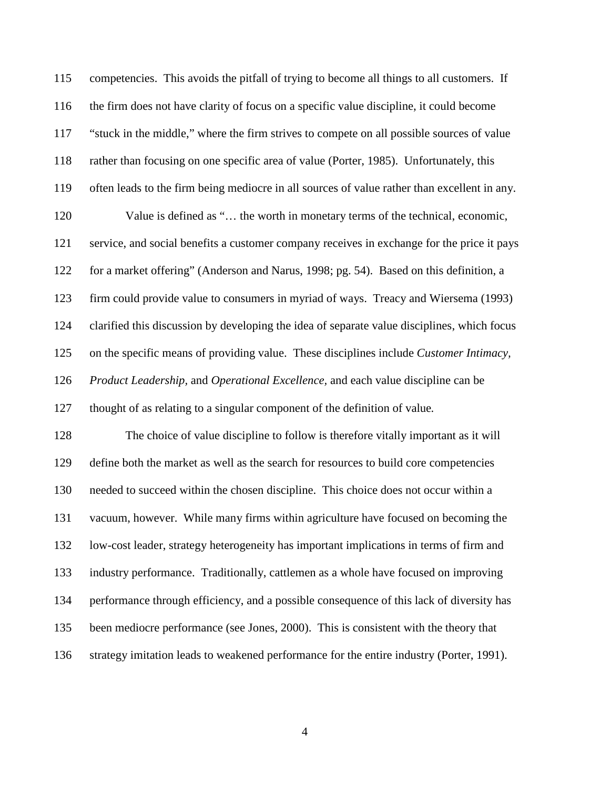| 115 | competencies. This avoids the pitfall of trying to become all things to all customers. If    |
|-----|----------------------------------------------------------------------------------------------|
| 116 | the firm does not have clarity of focus on a specific value discipline, it could become      |
| 117 | "stuck in the middle," where the firm strives to compete on all possible sources of value    |
| 118 | rather than focusing on one specific area of value (Porter, 1985). Unfortunately, this       |
| 119 | often leads to the firm being mediocre in all sources of value rather than excellent in any. |
| 120 | Value is defined as " the worth in monetary terms of the technical, economic,                |
| 121 | service, and social benefits a customer company receives in exchange for the price it pays   |
| 122 | for a market offering" (Anderson and Narus, 1998; pg. 54). Based on this definition, a       |
| 123 | firm could provide value to consumers in myriad of ways. Treacy and Wiersema (1993)          |
| 124 | clarified this discussion by developing the idea of separate value disciplines, which focus  |
| 125 | on the specific means of providing value. These disciplines include Customer Intimacy,       |
| 126 | Product Leadership, and Operational Excellence, and each value discipline can be             |
| 127 | thought of as relating to a singular component of the definition of value.                   |
| 128 | The choice of value discipline to follow is therefore vitally important as it will           |
| 129 | define both the market as well as the search for resources to build core competencies        |
| 130 | needed to succeed within the chosen discipline. This choice does not occur within a          |
| 131 | vacuum, however. While many firms within agriculture have focused on becoming the            |
| 132 | low-cost leader, strategy heterogeneity has important implications in terms of firm and      |
| 133 | industry performance. Traditionally, cattlemen as a whole have focused on improving          |
| 134 | performance through efficiency, and a possible consequence of this lack of diversity has     |
| 135 | been mediocre performance (see Jones, 2000). This is consistent with the theory that         |
| 136 | strategy imitation leads to weakened performance for the entire industry (Porter, 1991).     |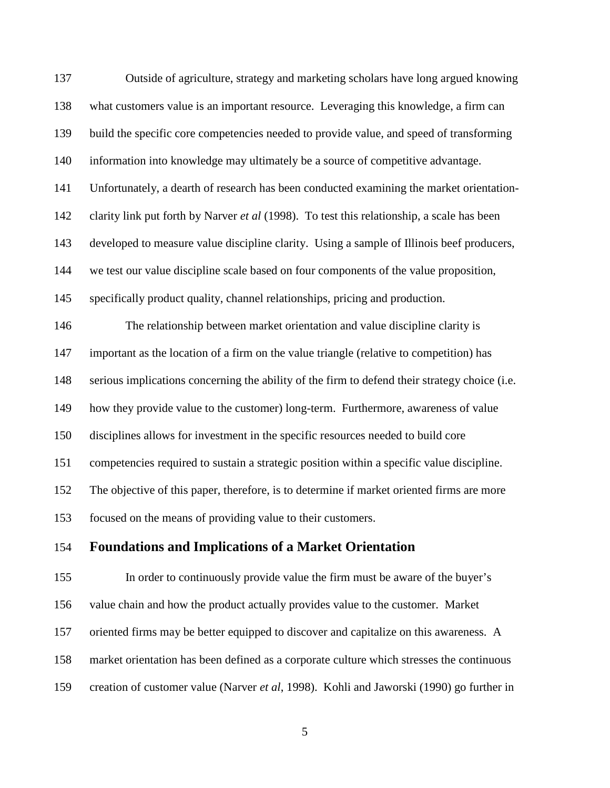| 137 | Outside of agriculture, strategy and marketing scholars have long argued knowing              |
|-----|-----------------------------------------------------------------------------------------------|
| 138 | what customers value is an important resource. Leveraging this knowledge, a firm can          |
| 139 | build the specific core competencies needed to provide value, and speed of transforming       |
| 140 | information into knowledge may ultimately be a source of competitive advantage.               |
| 141 | Unfortunately, a dearth of research has been conducted examining the market orientation-      |
| 142 | clarity link put forth by Narver et al (1998). To test this relationship, a scale has been    |
| 143 | developed to measure value discipline clarity. Using a sample of Illinois beef producers,     |
| 144 | we test our value discipline scale based on four components of the value proposition,         |
| 145 | specifically product quality, channel relationships, pricing and production.                  |
| 146 | The relationship between market orientation and value discipline clarity is                   |
| 147 | important as the location of a firm on the value triangle (relative to competition) has       |
| 148 | serious implications concerning the ability of the firm to defend their strategy choice (i.e. |
| 149 | how they provide value to the customer) long-term. Furthermore, awareness of value            |
| 150 | disciplines allows for investment in the specific resources needed to build core              |
| 151 | competencies required to sustain a strategic position within a specific value discipline.     |
| 152 | The objective of this paper, therefore, is to determine if market oriented firms are more     |
| 153 | focused on the means of providing value to their customers.                                   |
| 154 | <b>Foundations and Implications of a Market Orientation</b>                                   |

155 In order to continuously provide value the firm must be aware of the buyer's 156 value chain and how the product actually provides value to the customer. Market 157 oriented firms may be better equipped to discover and capitalize on this awareness. A 158 market orientation has been defined as a corporate culture which stresses the continuous 159 creation of customer value (Narver *et al*, 1998). Kohli and Jaworski (1990) go further in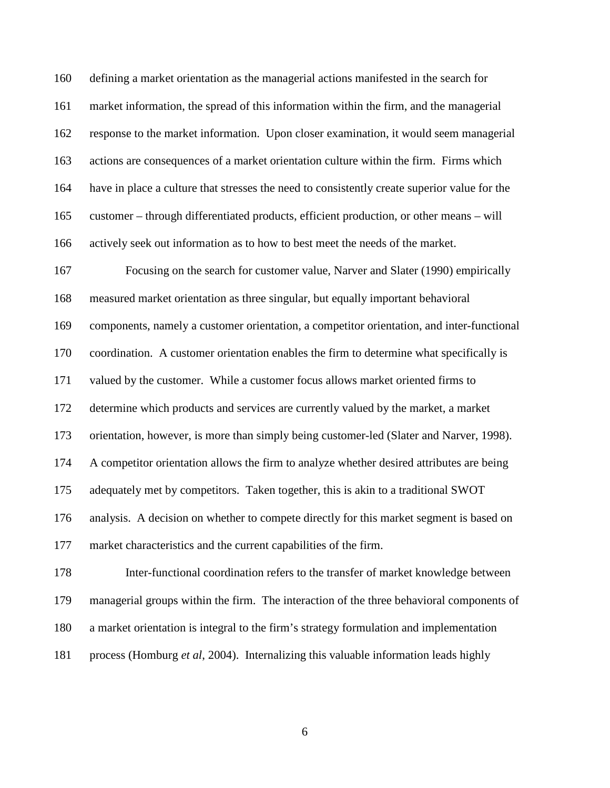160 defining a market orientation as the managerial actions manifested in the search for 161 market information, the spread of this information within the firm, and the managerial 162 response to the market information. Upon closer examination, it would seem managerial 163 actions are consequences of a market orientation culture within the firm. Firms which 164 have in place a culture that stresses the need to consistently create superior value for the 165 customer – through differentiated products, efficient production, or other means – will 166 actively seek out information as to how to best meet the needs of the market.

167 Focusing on the search for customer value, Narver and Slater (1990) empirically 168 measured market orientation as three singular, but equally important behavioral 169 components, namely a customer orientation, a competitor orientation, and inter-functional 170 coordination. A customer orientation enables the firm to determine what specifically is 171 valued by the customer. While a customer focus allows market oriented firms to 172 determine which products and services are currently valued by the market, a market 173 orientation, however, is more than simply being customer-led (Slater and Narver, 1998). 174 A competitor orientation allows the firm to analyze whether desired attributes are being 175 adequately met by competitors. Taken together, this is akin to a traditional SWOT 176 analysis. A decision on whether to compete directly for this market segment is based on 177 market characteristics and the current capabilities of the firm.

178 Inter-functional coordination refers to the transfer of market knowledge between 179 managerial groups within the firm. The interaction of the three behavioral components of 180 a market orientation is integral to the firm's strategy formulation and implementation 181 process (Homburg *et al*, 2004). Internalizing this valuable information leads highly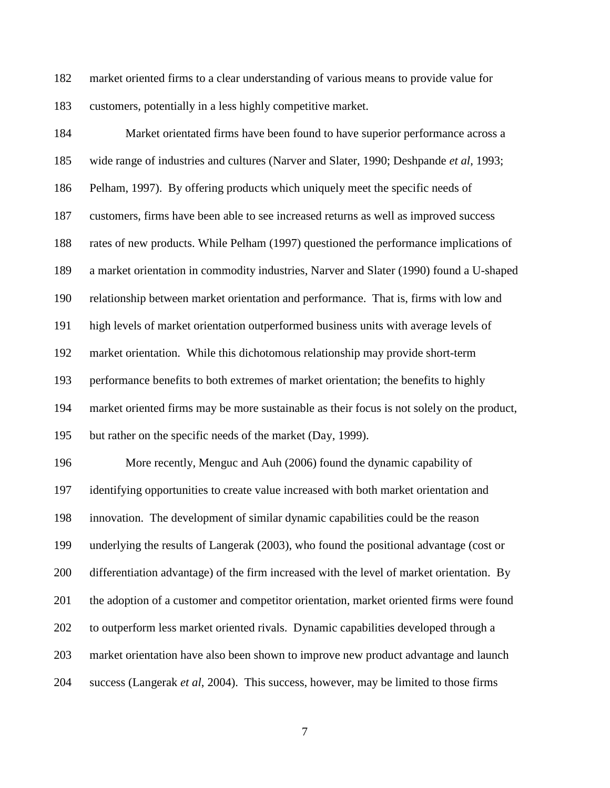182 market oriented firms to a clear understanding of various means to provide value for 183 customers, potentially in a less highly competitive market.

184 Market orientated firms have been found to have superior performance across a 185 wide range of industries and cultures (Narver and Slater, 1990; Deshpande *et al*, 1993; 186 Pelham, 1997). By offering products which uniquely meet the specific needs of 187 customers, firms have been able to see increased returns as well as improved success 188 rates of new products. While Pelham (1997) questioned the performance implications of 189 a market orientation in commodity industries, Narver and Slater (1990) found a U-shaped 190 relationship between market orientation and performance. That is, firms with low and 191 high levels of market orientation outperformed business units with average levels of 192 market orientation. While this dichotomous relationship may provide short-term 193 performance benefits to both extremes of market orientation; the benefits to highly 194 market oriented firms may be more sustainable as their focus is not solely on the product, 195 but rather on the specific needs of the market (Day, 1999). 196 More recently, Menguc and Auh (2006) found the dynamic capability of 197 identifying opportunities to create value increased with both market orientation and 198 innovation. The development of similar dynamic capabilities could be the reason 199 underlying the results of Langerak (2003), who found the positional advantage (cost or 200 differentiation advantage) of the firm increased with the level of market orientation. By 201 the adoption of a customer and competitor orientation, market oriented firms were found 202 to outperform less market oriented rivals. Dynamic capabilities developed through a 203 market orientation have also been shown to improve new product advantage and launch 204 success (Langerak *et al*, 2004). This success, however, may be limited to those firms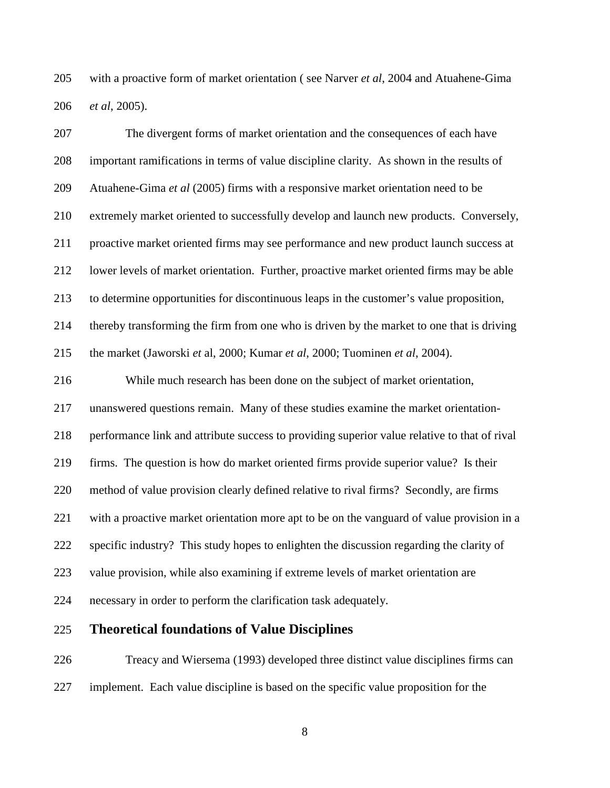205 with a proactive form of market orientation ( see Narver *et al*, 2004 and Atuahene-Gima 206 *et al*, 2005).

207 The divergent forms of market orientation and the consequences of each have 208 important ramifications in terms of value discipline clarity. As shown in the results of 209 Atuahene-Gima *et al* (2005) firms with a responsive market orientation need to be 210 extremely market oriented to successfully develop and launch new products. Conversely, 211 proactive market oriented firms may see performance and new product launch success at 212 lower levels of market orientation. Further, proactive market oriented firms may be able 213 to determine opportunities for discontinuous leaps in the customer's value proposition, 214 thereby transforming the firm from one who is driven by the market to one that is driving 215 the market (Jaworski *et* al, 2000; Kumar *et al*, 2000; Tuominen *et al*, 2004). 216 While much research has been done on the subject of market orientation, 217 unanswered questions remain. Many of these studies examine the market orientation-218 performance link and attribute success to providing superior value relative to that of rival 219 firms. The question is how do market oriented firms provide superior value? Is their 220 method of value provision clearly defined relative to rival firms? Secondly, are firms 221 with a proactive market orientation more apt to be on the vanguard of value provision in a 222 specific industry? This study hopes to enlighten the discussion regarding the clarity of 223 value provision, while also examining if extreme levels of market orientation are 224 necessary in order to perform the clarification task adequately.

## 225 **Theoretical foundations of Value Disciplines**

226 Treacy and Wiersema (1993) developed three distinct value disciplines firms can 227 implement. Each value discipline is based on the specific value proposition for the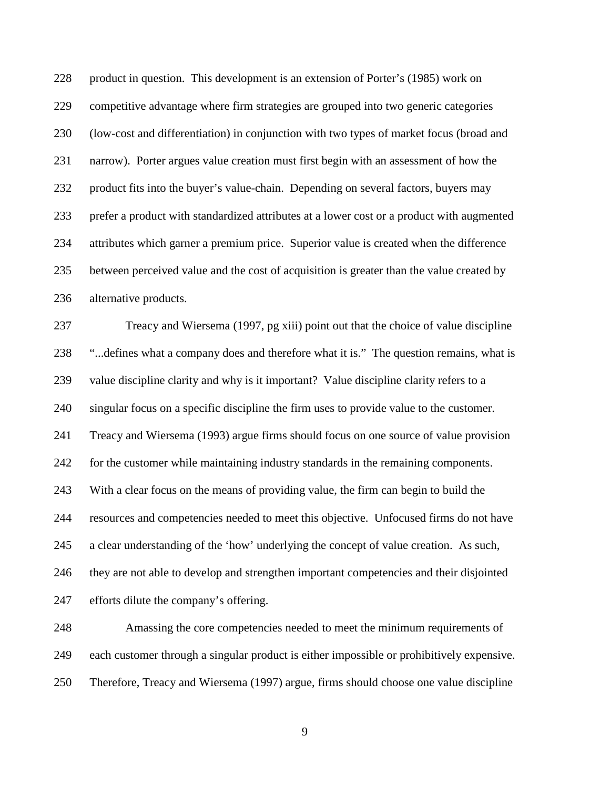228 product in question. This development is an extension of Porter's (1985) work on 229 competitive advantage where firm strategies are grouped into two generic categories 230 (low-cost and differentiation) in conjunction with two types of market focus (broad and 231 narrow). Porter argues value creation must first begin with an assessment of how the 232 product fits into the buyer's value-chain. Depending on several factors, buyers may 233 prefer a product with standardized attributes at a lower cost or a product with augmented 234 attributes which garner a premium price. Superior value is created when the difference 235 between perceived value and the cost of acquisition is greater than the value created by 236 alternative products.

237 Treacy and Wiersema (1997, pg xiii) point out that the choice of value discipline 238 "...defines what a company does and therefore what it is." The question remains, what is 239 value discipline clarity and why is it important? Value discipline clarity refers to a 240 singular focus on a specific discipline the firm uses to provide value to the customer. 241 Treacy and Wiersema (1993) argue firms should focus on one source of value provision 242 for the customer while maintaining industry standards in the remaining components. 243 With a clear focus on the means of providing value, the firm can begin to build the 244 resources and competencies needed to meet this objective. Unfocused firms do not have 245 a clear understanding of the 'how' underlying the concept of value creation. As such, 246 they are not able to develop and strengthen important competencies and their disjointed 247 efforts dilute the company's offering.

248 Amassing the core competencies needed to meet the minimum requirements of 249 each customer through a singular product is either impossible or prohibitively expensive. 250 Therefore, Treacy and Wiersema (1997) argue, firms should choose one value discipline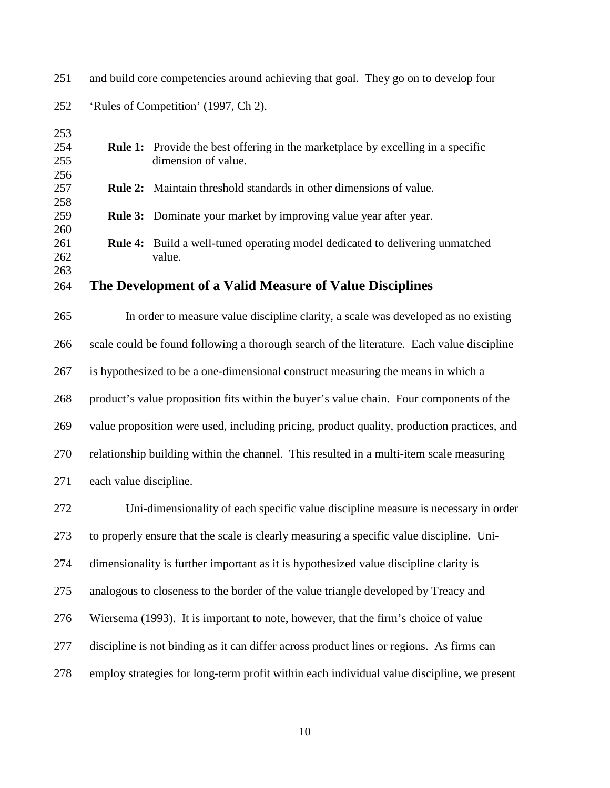| 253 |                                                                                            |                                                                                            |  |  |  |  |
|-----|--------------------------------------------------------------------------------------------|--------------------------------------------------------------------------------------------|--|--|--|--|
| 254 |                                                                                            | <b>Rule 1:</b> Provide the best offering in the marketplace by excelling in a specific     |  |  |  |  |
| 255 |                                                                                            | dimension of value.                                                                        |  |  |  |  |
| 256 |                                                                                            |                                                                                            |  |  |  |  |
| 257 |                                                                                            | <b>Rule 2:</b> Maintain threshold standards in other dimensions of value.                  |  |  |  |  |
| 258 |                                                                                            |                                                                                            |  |  |  |  |
| 259 |                                                                                            | <b>Rule 3:</b> Dominate your market by improving value year after year.                    |  |  |  |  |
| 260 |                                                                                            |                                                                                            |  |  |  |  |
| 261 |                                                                                            | <b>Rule 4:</b> Build a well-tuned operating model dedicated to delivering unmatched        |  |  |  |  |
| 262 |                                                                                            | value.                                                                                     |  |  |  |  |
| 263 |                                                                                            |                                                                                            |  |  |  |  |
| 264 |                                                                                            | The Development of a Valid Measure of Value Disciplines                                    |  |  |  |  |
|     |                                                                                            |                                                                                            |  |  |  |  |
| 265 |                                                                                            | In order to measure value discipline clarity, a scale was developed as no existing         |  |  |  |  |
|     |                                                                                            |                                                                                            |  |  |  |  |
| 266 |                                                                                            | scale could be found following a thorough search of the literature. Each value discipline  |  |  |  |  |
|     |                                                                                            |                                                                                            |  |  |  |  |
| 267 |                                                                                            | is hypothesized to be a one-dimensional construct measuring the means in which a           |  |  |  |  |
|     |                                                                                            |                                                                                            |  |  |  |  |
| 268 |                                                                                            | product's value proposition fits within the buyer's value chain. Four components of the    |  |  |  |  |
|     |                                                                                            |                                                                                            |  |  |  |  |
| 269 |                                                                                            | value proposition were used, including pricing, product quality, production practices, and |  |  |  |  |
|     |                                                                                            |                                                                                            |  |  |  |  |
| 270 | relationship building within the channel. This resulted in a multi-item scale measuring    |                                                                                            |  |  |  |  |
|     |                                                                                            |                                                                                            |  |  |  |  |
| 271 | each value discipline.                                                                     |                                                                                            |  |  |  |  |
|     |                                                                                            |                                                                                            |  |  |  |  |
| 272 |                                                                                            | Uni-dimensionality of each specific value discipline measure is necessary in order         |  |  |  |  |
|     |                                                                                            |                                                                                            |  |  |  |  |
| 273 |                                                                                            | to properly ensure that the scale is clearly measuring a specific value discipline. Uni-   |  |  |  |  |
|     |                                                                                            |                                                                                            |  |  |  |  |
| 274 |                                                                                            | dimensionality is further important as it is hypothesized value discipline clarity is      |  |  |  |  |
|     |                                                                                            |                                                                                            |  |  |  |  |
| 275 |                                                                                            | analogous to closeness to the border of the value triangle developed by Treacy and         |  |  |  |  |
|     |                                                                                            |                                                                                            |  |  |  |  |
| 276 |                                                                                            | Wiersema (1993). It is important to note, however, that the firm's choice of value         |  |  |  |  |
|     |                                                                                            |                                                                                            |  |  |  |  |
| 277 |                                                                                            | discipline is not binding as it can differ across product lines or regions. As firms can   |  |  |  |  |
|     |                                                                                            |                                                                                            |  |  |  |  |
| 278 | employ strategies for long-term profit within each individual value discipline, we present |                                                                                            |  |  |  |  |
|     |                                                                                            |                                                                                            |  |  |  |  |
|     |                                                                                            |                                                                                            |  |  |  |  |

251 and build core competencies around achieving that goal. They go on to develop four 252 'Rules of Competition' (1997, Ch 2).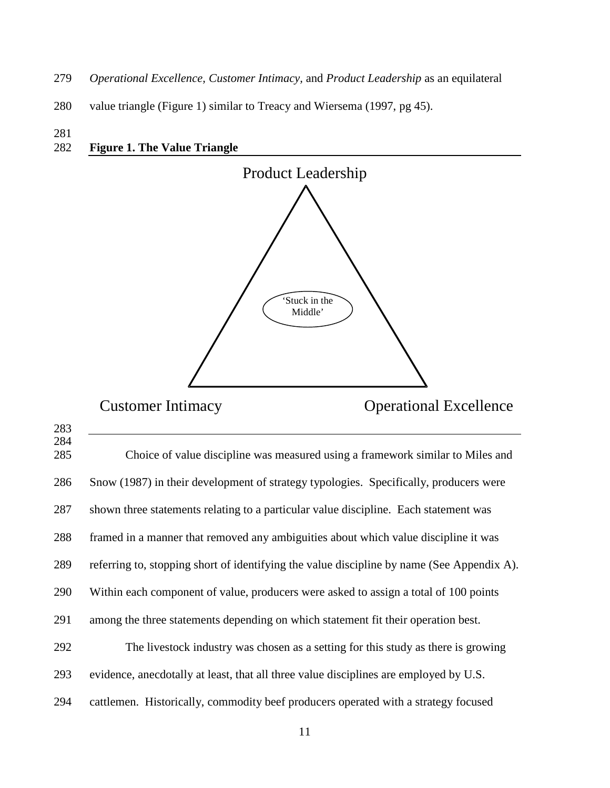- 279 *Operational Excellence, Customer Intimacy,* and *Product Leadership* as an equilateral
- 280 value triangle (Figure 1) similar to Treacy and Wiersema (1997, pg 45).
- 

283

## 281 282 **Figure 1. The Value Triangle**



Customer Intimacy Operational Excellence

| 284<br>285 | Choice of value discipline was measured using a framework similar to Miles and             |
|------------|--------------------------------------------------------------------------------------------|
| 286        | Snow (1987) in their development of strategy typologies. Specifically, producers were      |
| 287        | shown three statements relating to a particular value discipline. Each statement was       |
| 288        | framed in a manner that removed any ambiguities about which value discipline it was        |
| 289        | referring to, stopping short of identifying the value discipline by name (See Appendix A). |
| 290        | Within each component of value, producers were asked to assign a total of 100 points       |
| 291        | among the three statements depending on which statement fit their operation best.          |
| 292        | The livestock industry was chosen as a setting for this study as there is growing          |
| 293        | evidence, anecdotally at least, that all three value disciplines are employed by U.S.      |
| 294        | cattlemen. Historically, commodity beef producers operated with a strategy focused         |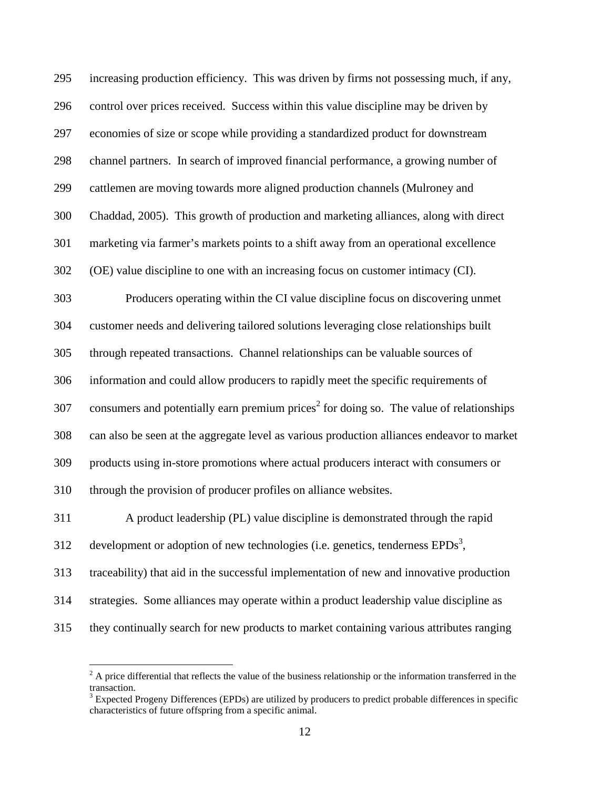295 increasing production efficiency. This was driven by firms not possessing much, if any, 296 control over prices received. Success within this value discipline may be driven by 297 economies of size or scope while providing a standardized product for downstream 298 channel partners. In search of improved financial performance, a growing number of 299 cattlemen are moving towards more aligned production channels (Mulroney and 300 Chaddad, 2005). This growth of production and marketing alliances, along with direct 301 marketing via farmer's markets points to a shift away from an operational excellence 302 (OE) value discipline to one with an increasing focus on customer intimacy (CI). 303 Producers operating within the CI value discipline focus on discovering unmet 304 customer needs and delivering tailored solutions leveraging close relationships built 305 through repeated transactions. Channel relationships can be valuable sources of 306 information and could allow producers to rapidly meet the specific requirements of 307 consumers and potentially earn premium prices<sup>2</sup> for doing so. The value of relationships 308 can also be seen at the aggregate level as various production alliances endeavor to market 309 products using in-store promotions where actual producers interact with consumers or 310 through the provision of producer profiles on alliance websites. 311 A product leadership (PL) value discipline is demonstrated through the rapid 312 development or adoption of new technologies (i.e. genetics, tenderness  $EPDs<sup>3</sup>$ , 313 traceability) that aid in the successful implementation of new and innovative production 314 strategies. Some alliances may operate within a product leadership value discipline as 315 they continually search for new products to market containing various attributes ranging

 $\overline{a}$ 

 $2^2$  A price differential that reflects the value of the business relationship or the information transferred in the transaction.

 $3$  Expected Progeny Differences (EPDs) are utilized by producers to predict probable differences in specific characteristics of future offspring from a specific animal.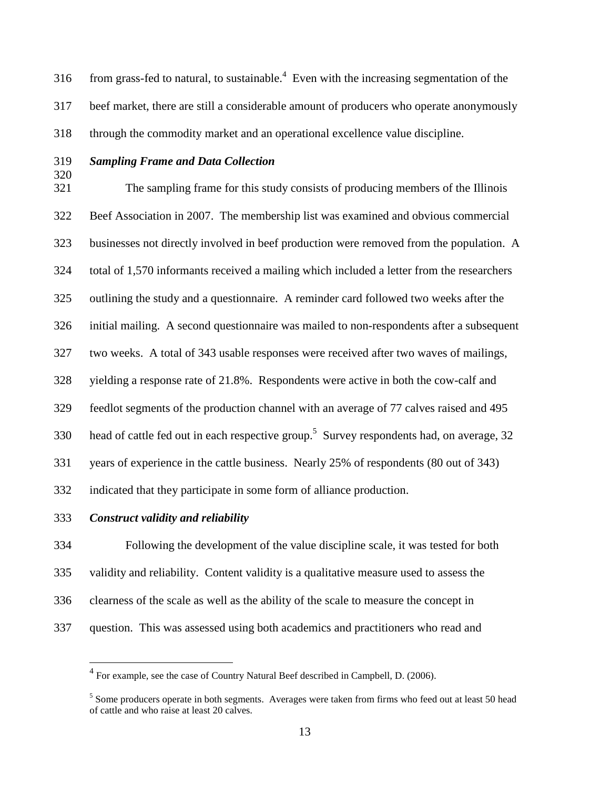316 from grass-fed to natural, to sustainable.<sup>4</sup> Even with the increasing segmentation of the 317 beef market, there are still a considerable amount of producers who operate anonymously 318 through the commodity market and an operational excellence value discipline.

320

## 319 *Sampling Frame and Data Collection*

321 The sampling frame for this study consists of producing members of the Illinois 322 Beef Association in 2007. The membership list was examined and obvious commercial 323 businesses not directly involved in beef production were removed from the population. A 324 total of 1,570 informants received a mailing which included a letter from the researchers 325 outlining the study and a questionnaire. A reminder card followed two weeks after the 326 initial mailing. A second questionnaire was mailed to non-respondents after a subsequent 327 two weeks. A total of 343 usable responses were received after two waves of mailings, 328 yielding a response rate of 21.8%. Respondents were active in both the cow-calf and 329 feedlot segments of the production channel with an average of 77 calves raised and 495 330 head of cattle fed out in each respective group.<sup>5</sup> Survey respondents had, on average, 32 331 years of experience in the cattle business. Nearly 25% of respondents (80 out of 343) 332 indicated that they participate in some form of alliance production. 333 *Construct validity and reliability* 

<u>.</u>

334 Following the development of the value discipline scale, it was tested for both 335 validity and reliability. Content validity is a qualitative measure used to assess the 336 clearness of the scale as well as the ability of the scale to measure the concept in 337 question. This was assessed using both academics and practitioners who read and

<sup>&</sup>lt;sup>4</sup> For example, see the case of Country Natural Beef described in Campbell, D. (2006).

<sup>&</sup>lt;sup>5</sup> Some producers operate in both segments. Averages were taken from firms who feed out at least 50 head of cattle and who raise at least 20 calves.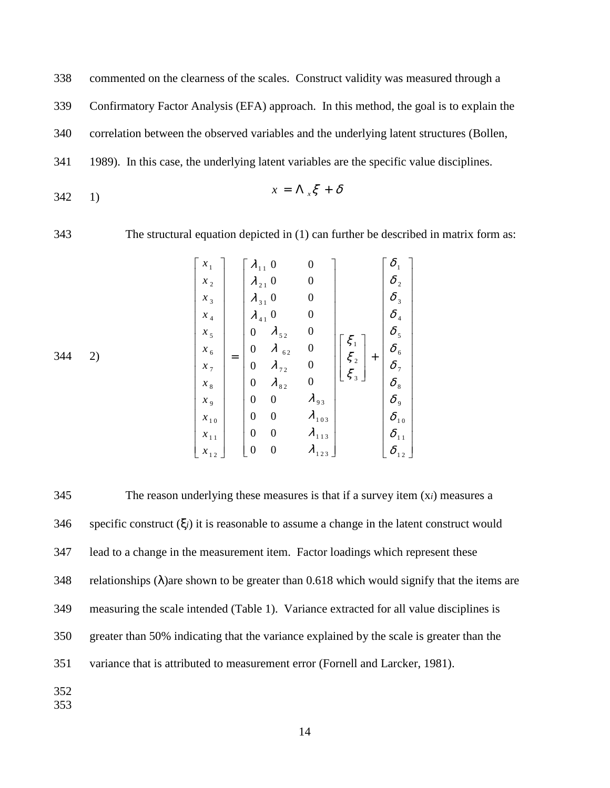338 commented on the clearness of the scales. Construct validity was measured through a

339 Confirmatory Factor Analysis (EFA) approach. In this method, the goal is to explain the

340 correlation between the observed variables and the underlying latent structures (Bollen,

341 1989). In this case, the underlying latent variables are the specific value disciplines.

$$
x = \Lambda_x \xi + \delta
$$

343 The structural equation depicted in (1) can further be described in matrix form as:

|     | $x_{\scriptscriptstyle 1}$ |     | $\lambda_{11}$                       | $\boldsymbol{0}$ | $\boldsymbol{0}$ |                    | $\delta_{\scriptscriptstyle 1}$   |
|-----|----------------------------|-----|--------------------------------------|------------------|------------------|--------------------|-----------------------------------|
|     | $x_{2}$                    |     | $\lambda_{21}$ 0                     |                  | $\boldsymbol{0}$ |                    | $\delta$ <sub>2</sub>             |
|     | $x_3$                      |     | $\lambda_{31}$ 0                     |                  | $\boldsymbol{0}$ |                    | $\delta$ <sub>3</sub>             |
|     | $x_{_4}$                   |     | $\lambda_{\scriptscriptstyle{41}}$ ' | $\boldsymbol{0}$ | $\boldsymbol{0}$ |                    | $\delta$ $_{\mbox{\tiny 4}}$      |
|     | $x_{5}$                    |     | $\boldsymbol{0}$                     | $\lambda_{52}$   | $\boldsymbol{0}$ |                    | $\delta_{\scriptscriptstyle{5}}$  |
| 344 | $x_{6}$                    | $=$ | $\boldsymbol{0}$                     | $\lambda$ 62     | $\boldsymbol{0}$ | $\xi_1$<br>$\xi_2$ | $\delta_{\scriptscriptstyle 6}$   |
| 2)  | $x_{7}$                    |     | $\boldsymbol{0}$                     | $\lambda_{72}$   | $\boldsymbol{0}$ | $^{+}$             | $\delta$ <sub>7</sub>             |
|     | $x_{\rm \,s}$              |     | $\boldsymbol{0}$                     | $\lambda_{82}$   | $\boldsymbol{0}$ | $\xi_3$            | $\delta_s$                        |
|     | $x_{9}$                    |     | $\boldsymbol{0}$                     | $\boldsymbol{0}$ | $\lambda_{93}$   |                    | $\delta$ ,                        |
|     | $x_{10}$                   |     | $\boldsymbol{0}$                     | $\boldsymbol{0}$ | $\lambda_{103}$  |                    | $\delta_{\scriptscriptstyle 10}$  |
|     | $x_{11}$                   |     | $\boldsymbol{0}$                     | $\boldsymbol{0}$ | $\lambda_{113}$  |                    | $\delta_{\scriptscriptstyle{11}}$ |
|     | $x_{12}$                   |     | $\boldsymbol{0}$                     | $\boldsymbol{0}$ | $\lambda_{123}$  |                    | $\delta_{12}$                     |

345 The reason underlying these measures is that if a survey item (x*i*) measures a 346 specific construct (ξ*i*) it is reasonable to assume a change in the latent construct would 347 lead to a change in the measurement item. Factor loadings which represent these 348 relationships ( $\lambda$ ) are shown to be greater than 0.618 which would signify that the items are 349 measuring the scale intended (Table 1). Variance extracted for all value disciplines is 350 greater than 50% indicating that the variance explained by the scale is greater than the 351 variance that is attributed to measurement error (Fornell and Larcker, 1981). 352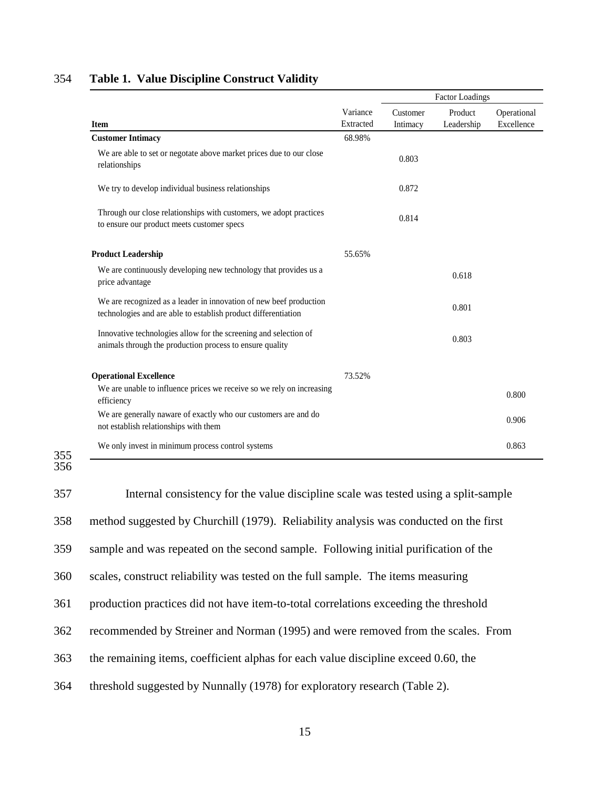|                                                                                                                                      |                       |                      | <b>Factor Loadings</b> |                           |
|--------------------------------------------------------------------------------------------------------------------------------------|-----------------------|----------------------|------------------------|---------------------------|
| <b>Item</b>                                                                                                                          | Variance<br>Extracted | Customer<br>Intimacy | Product<br>Leadership  | Operational<br>Excellence |
| <b>Customer Intimacy</b>                                                                                                             | 68.98%                |                      |                        |                           |
| We are able to set or negotate above market prices due to our close<br>relationships                                                 |                       | 0.803                |                        |                           |
| We try to develop individual business relationships                                                                                  |                       | 0.872                |                        |                           |
| Through our close relationships with customers, we adopt practices<br>to ensure our product meets customer specs                     |                       | 0.814                |                        |                           |
| <b>Product Leadership</b>                                                                                                            | 55.65%                |                      |                        |                           |
| We are continuously developing new technology that provides us a<br>price advantage                                                  |                       |                      | 0.618                  |                           |
| We are recognized as a leader in innovation of new beef production<br>technologies and are able to establish product differentiation |                       |                      | 0.801                  |                           |
| Innovative technologies allow for the screening and selection of<br>animals through the production process to ensure quality         |                       |                      | 0.803                  |                           |
| <b>Operational Excellence</b>                                                                                                        | 73.52%                |                      |                        |                           |
| We are unable to influence prices we receive so we rely on increasing<br>efficiency                                                  |                       |                      |                        | 0.800                     |
| We are generally naware of exactly who our customers are and do<br>not establish relationships with them                             |                       |                      |                        | 0.906                     |
| We only invest in minimum process control systems                                                                                    |                       |                      |                        | 0.863                     |

#### 354 **Table 1. Value Discipline Construct Validity**

355 356

357 Internal consistency for the value discipline scale was tested using a split-sample 358 method suggested by Churchill (1979). Reliability analysis was conducted on the first 359 sample and was repeated on the second sample. Following initial purification of the 360 scales, construct reliability was tested on the full sample. The items measuring 361 production practices did not have item-to-total correlations exceeding the threshold 362 recommended by Streiner and Norman (1995) and were removed from the scales. From 363 the remaining items, coefficient alphas for each value discipline exceed 0.60, the 364 threshold suggested by Nunnally (1978) for exploratory research (Table 2).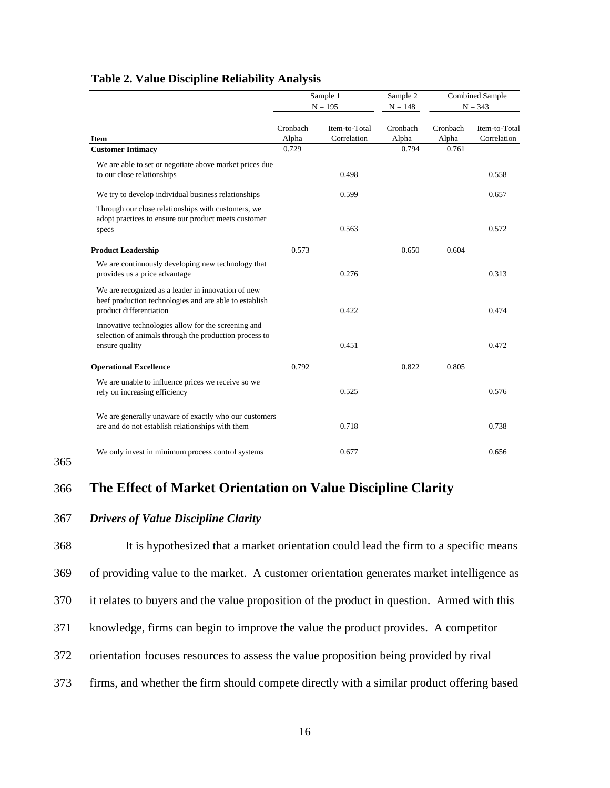|                                                                                                                                         |                   | Sample 1<br>$N = 195$        | Sample 2<br>$N = 148$ | <b>Combined Sample</b><br>$N = 343$ |                              |
|-----------------------------------------------------------------------------------------------------------------------------------------|-------------------|------------------------------|-----------------------|-------------------------------------|------------------------------|
| <b>Item</b>                                                                                                                             | Cronbach<br>Alpha | Item-to-Total<br>Correlation | Cronbach<br>Alpha     | Cronbach<br>Alpha                   | Item-to-Total<br>Correlation |
| <b>Customer Intimacy</b>                                                                                                                | 0.729             |                              | 0.794                 | 0.761                               |                              |
| We are able to set or negotiate above market prices due<br>to our close relationships                                                   |                   | 0.498                        |                       |                                     | 0.558                        |
| We try to develop individual business relationships                                                                                     |                   | 0.599                        |                       |                                     | 0.657                        |
| Through our close relationships with customers, we<br>adopt practices to ensure our product meets customer<br>specs                     |                   | 0.563                        |                       |                                     | 0.572                        |
| <b>Product Leadership</b>                                                                                                               | 0.573             |                              | 0.650                 | 0.604                               |                              |
| We are continuously developing new technology that<br>provides us a price advantage                                                     |                   | 0.276                        |                       |                                     | 0.313                        |
| We are recognized as a leader in innovation of new<br>beef production technologies and are able to establish<br>product differentiation |                   | 0.422                        |                       |                                     | 0.474                        |
| Innovative technologies allow for the screening and<br>selection of animals through the production process to<br>ensure quality         |                   | 0.451                        |                       |                                     | 0.472                        |
| <b>Operational Excellence</b>                                                                                                           | 0.792             |                              | 0.822                 | 0.805                               |                              |
| We are unable to influence prices we receive so we<br>rely on increasing efficiency                                                     |                   | 0.525                        |                       |                                     | 0.576                        |
| We are generally unaware of exactly who our customers<br>are and do not establish relationships with them                               |                   | 0.718                        |                       |                                     | 0.738                        |
| We only invest in minimum process control systems                                                                                       |                   | 0.677                        |                       |                                     | 0.656                        |

#### **Table 2. Value Discipline Reliability Analysis**

## 365

# 366 **The Effect of Market Orientation on Value Discipline Clarity**

### 367 *Drivers of Value Discipline Clarity*

368 It is hypothesized that a market orientation could lead the firm to a specific means 369 of providing value to the market. A customer orientation generates market intelligence as 370 it relates to buyers and the value proposition of the product in question. Armed with this 371 knowledge, firms can begin to improve the value the product provides. A competitor 372 orientation focuses resources to assess the value proposition being provided by rival 373 firms, and whether the firm should compete directly with a similar product offering based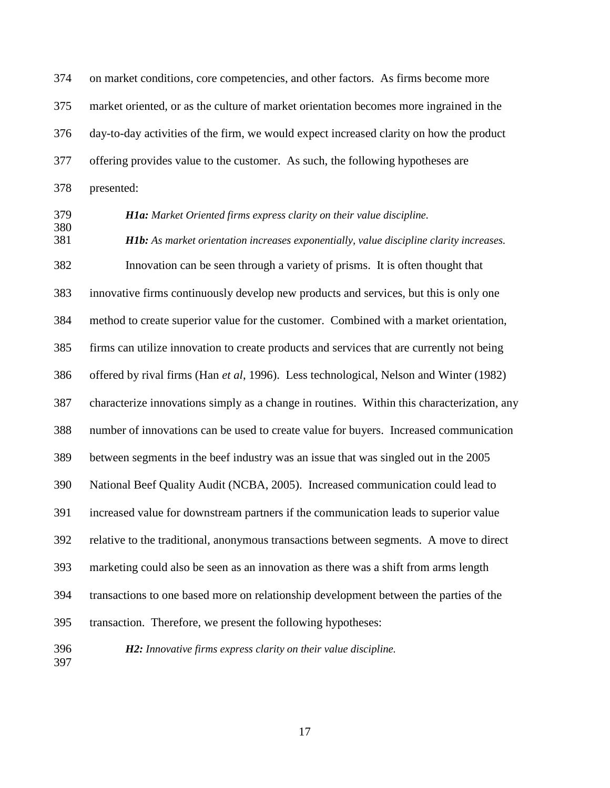374 on market conditions, core competencies, and other factors. As firms become more 375 market oriented, or as the culture of market orientation becomes more ingrained in the 376 day-to-day activities of the firm, we would expect increased clarity on how the product 377 offering provides value to the customer. As such, the following hypotheses are 378 presented:

379 *H1a: Market Oriented firms express clarity on their value discipline.*  380 381 *H1b: As market orientation increases exponentially, value discipline clarity increases.*  382 Innovation can be seen through a variety of prisms. It is often thought that 383 innovative firms continuously develop new products and services, but this is only one 384 method to create superior value for the customer. Combined with a market orientation, 385 firms can utilize innovation to create products and services that are currently not being 386 offered by rival firms (Han *et al*, 1996). Less technological, Nelson and Winter (1982) 387 characterize innovations simply as a change in routines. Within this characterization, any 388 number of innovations can be used to create value for buyers. Increased communication 389 between segments in the beef industry was an issue that was singled out in the 2005 390 National Beef Quality Audit (NCBA, 2005). Increased communication could lead to 391 increased value for downstream partners if the communication leads to superior value 392 relative to the traditional, anonymous transactions between segments. A move to direct 393 marketing could also be seen as an innovation as there was a shift from arms length 394 transactions to one based more on relationship development between the parties of the 395 transaction. Therefore, we present the following hypotheses:

397

396 *H2: Innovative firms express clarity on their value discipline.*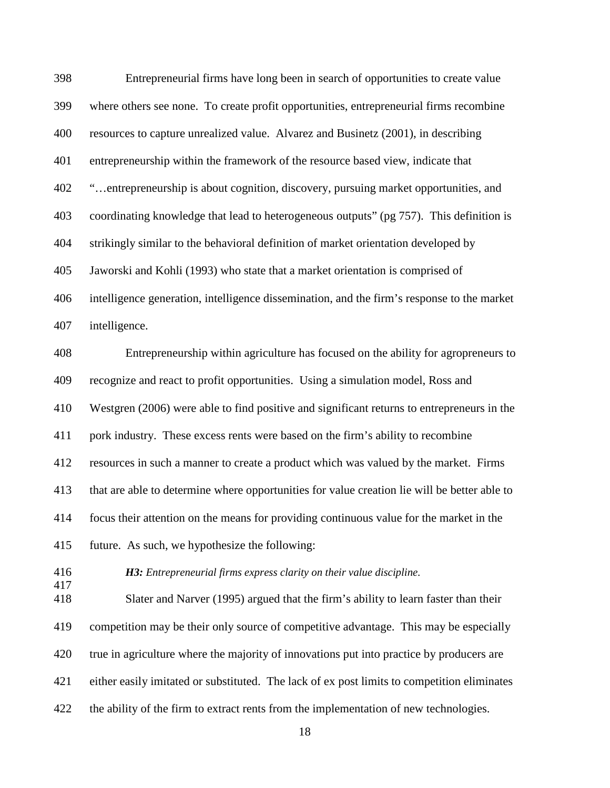| 398        | Entrepreneurial firms have long been in search of opportunities to create value              |
|------------|----------------------------------------------------------------------------------------------|
| 399        | where others see none. To create profit opportunities, entrepreneurial firms recombine       |
| 400        | resources to capture unrealized value. Alvarez and Businetz (2001), in describing            |
| 401        | entrepreneurship within the framework of the resource based view, indicate that              |
| 402        | "entrepreneurship is about cognition, discovery, pursuing market opportunities, and          |
| 403        | coordinating knowledge that lead to heterogeneous outputs" (pg 757). This definition is      |
| 404        | strikingly similar to the behavioral definition of market orientation developed by           |
| 405        | Jaworski and Kohli (1993) who state that a market orientation is comprised of                |
| 406        | intelligence generation, intelligence dissemination, and the firm's response to the market   |
| 407        | intelligence.                                                                                |
| 408        | Entrepreneurship within agriculture has focused on the ability for agropreneurs to           |
| 409        | recognize and react to profit opportunities. Using a simulation model, Ross and              |
| 410        | Westgren (2006) were able to find positive and significant returns to entrepreneurs in the   |
| 411        | pork industry. These excess rents were based on the firm's ability to recombine              |
| 412        | resources in such a manner to create a product which was valued by the market. Firms         |
| 413        | that are able to determine where opportunities for value creation lie will be better able to |
| 414        | focus their attention on the means for providing continuous value for the market in the      |
| 415        | future. As such, we hypothesize the following:                                               |
| 416<br>417 | <b>H3:</b> Entrepreneurial firms express clarity on their value discipline.                  |
| 418        | Slater and Narver (1995) argued that the firm's ability to learn faster than their           |
| 419        | competition may be their only source of competitive advantage. This may be especially        |
| 420        | true in agriculture where the majority of innovations put into practice by producers are     |
| 421        | either easily imitated or substituted. The lack of ex post limits to competition eliminates  |
| 422        | the ability of the firm to extract rents from the implementation of new technologies.        |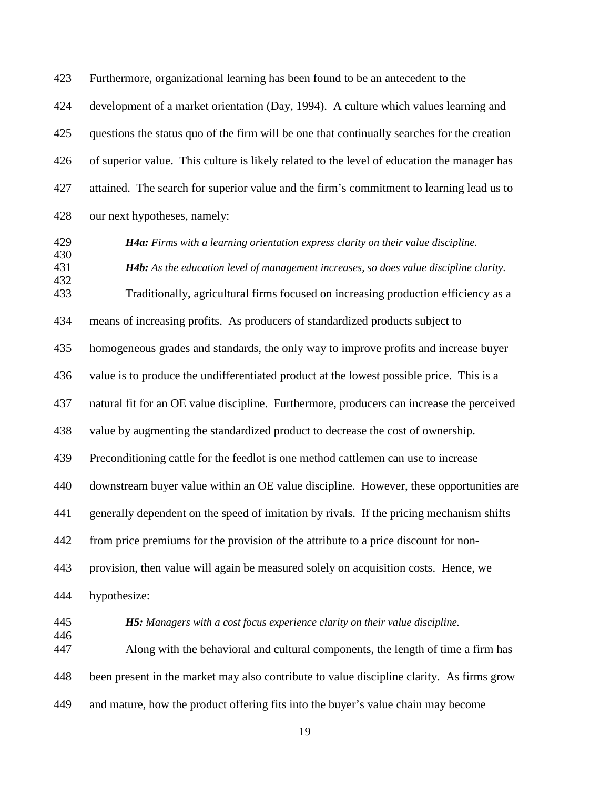423 Furthermore, organizational learning has been found to be an antecedent to the

424 development of a market orientation (Day, 1994). A culture which values learning and 425 questions the status quo of the firm will be one that continually searches for the creation 426 of superior value. This culture is likely related to the level of education the manager has 427 attained. The search for superior value and the firm's commitment to learning lead us to 428 our next hypotheses, namely:

# 430

429 *H4a: Firms with a learning orientation express clarity on their value discipline.* 

431 *H4b: As the education level of management increases, so does value discipline clarity.*  432

433 Traditionally, agricultural firms focused on increasing production efficiency as a

434 means of increasing profits. As producers of standardized products subject to

435 homogeneous grades and standards, the only way to improve profits and increase buyer

436 value is to produce the undifferentiated product at the lowest possible price. This is a

437 natural fit for an OE value discipline. Furthermore, producers can increase the perceived

438 value by augmenting the standardized product to decrease the cost of ownership.

439 Preconditioning cattle for the feedlot is one method cattlemen can use to increase

440 downstream buyer value within an OE value discipline. However, these opportunities are

441 generally dependent on the speed of imitation by rivals. If the pricing mechanism shifts

442 from price premiums for the provision of the attribute to a price discount for non-

443 provision, then value will again be measured solely on acquisition costs. Hence, we

444 hypothesize:

446

445 *H5: Managers with a cost focus experience clarity on their value discipline.* 

447 Along with the behavioral and cultural components, the length of time a firm has 448 been present in the market may also contribute to value discipline clarity. As firms grow 449 and mature, how the product offering fits into the buyer's value chain may become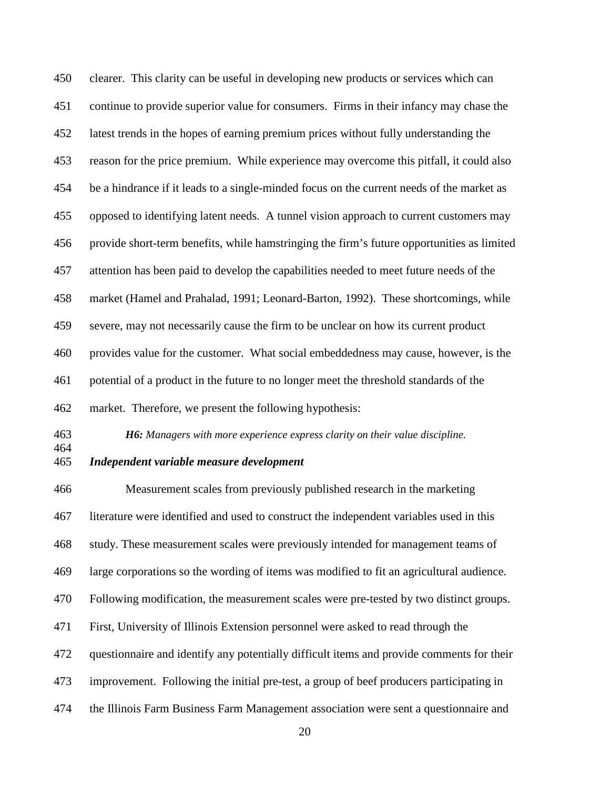450 clearer. This clarity can be useful in developing new products or services which can 451 continue to provide superior value for consumers. Firms in their infancy may chase the 452 latest trends in the hopes of earning premium prices without fully understanding the 453 reason for the price premium. While experience may overcome this pitfall, it could also 454 be a hindrance if it leads to a single-minded focus on the current needs of the market as 455 opposed to identifying latent needs. A tunnel vision approach to current customers may 456 provide short-term benefits, while hamstringing the firm's future opportunities as limited 457 attention has been paid to develop the capabilities needed to meet future needs of the 458 market (Hamel and Prahalad, 1991; Leonard-Barton, 1992). These shortcomings, while 459 severe, may not necessarily cause the firm to be unclear on how its current product 460 provides value for the customer. What social embeddedness may cause, however, is the 461 potential of a product in the future to no longer meet the threshold standards of the 462 market. Therefore, we present the following hypothesis:

463 *H6: Managers with more experience express clarity on their value discipline.* 

464

#### 465 *Independent variable measure development*

466 Measurement scales from previously published research in the marketing 467 literature were identified and used to construct the independent variables used in this 468 study. These measurement scales were previously intended for management teams of 469 large corporations so the wording of items was modified to fit an agricultural audience. 470 Following modification, the measurement scales were pre-tested by two distinct groups. 471 First, University of Illinois Extension personnel were asked to read through the 472 questionnaire and identify any potentially difficult items and provide comments for their 473 improvement. Following the initial pre-test, a group of beef producers participating in 474 the Illinois Farm Business Farm Management association were sent a questionnaire and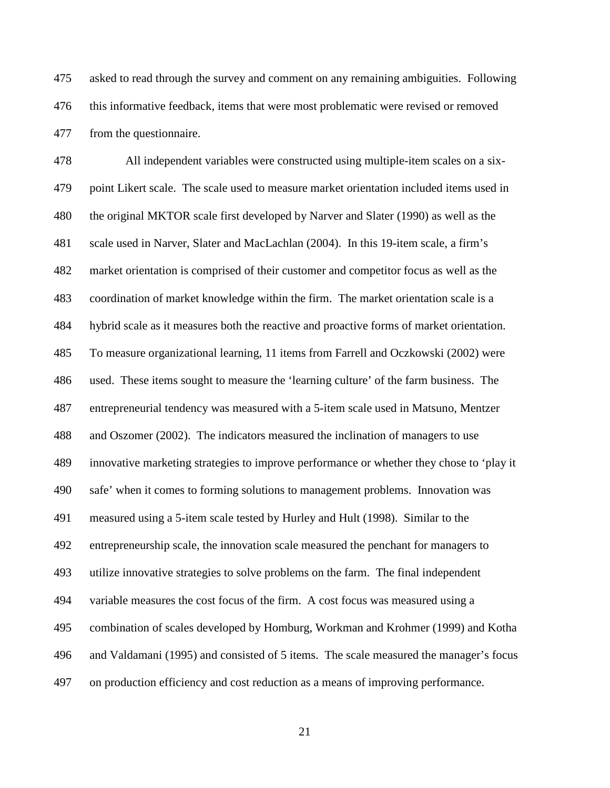475 asked to read through the survey and comment on any remaining ambiguities. Following 476 this informative feedback, items that were most problematic were revised or removed 477 from the questionnaire.

478 All independent variables were constructed using multiple-item scales on a six-479 point Likert scale. The scale used to measure market orientation included items used in 480 the original MKTOR scale first developed by Narver and Slater (1990) as well as the 481 scale used in Narver, Slater and MacLachlan (2004). In this 19-item scale, a firm's 482 market orientation is comprised of their customer and competitor focus as well as the 483 coordination of market knowledge within the firm. The market orientation scale is a 484 hybrid scale as it measures both the reactive and proactive forms of market orientation. 485 To measure organizational learning, 11 items from Farrell and Oczkowski (2002) were 486 used. These items sought to measure the 'learning culture' of the farm business. The 487 entrepreneurial tendency was measured with a 5-item scale used in Matsuno, Mentzer 488 and Oszomer (2002). The indicators measured the inclination of managers to use 489 innovative marketing strategies to improve performance or whether they chose to 'play it 490 safe' when it comes to forming solutions to management problems. Innovation was 491 measured using a 5-item scale tested by Hurley and Hult (1998). Similar to the 492 entrepreneurship scale, the innovation scale measured the penchant for managers to 493 utilize innovative strategies to solve problems on the farm. The final independent 494 variable measures the cost focus of the firm. A cost focus was measured using a 495 combination of scales developed by Homburg, Workman and Krohmer (1999) and Kotha 496 and Valdamani (1995) and consisted of 5 items. The scale measured the manager's focus 497 on production efficiency and cost reduction as a means of improving performance.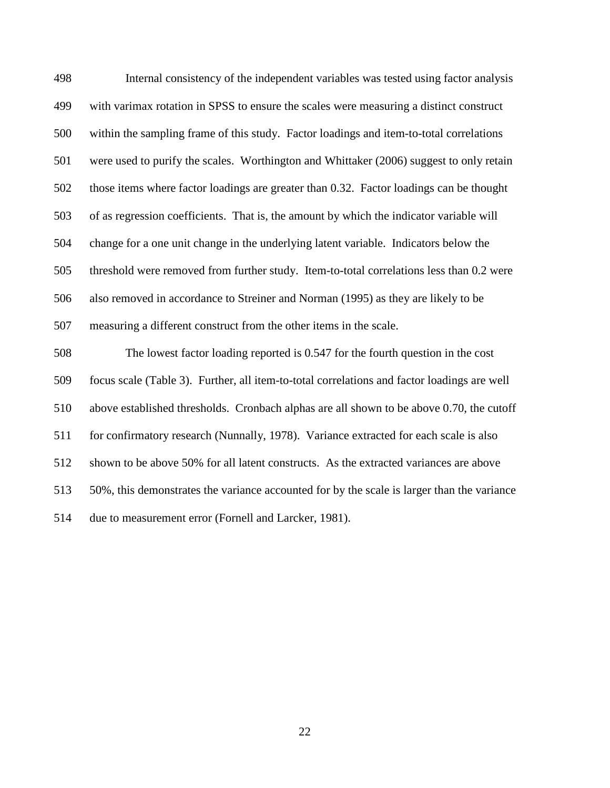| 498 | Internal consistency of the independent variables was tested using factor analysis          |
|-----|---------------------------------------------------------------------------------------------|
| 499 | with varimax rotation in SPSS to ensure the scales were measuring a distinct construct      |
| 500 | within the sampling frame of this study. Factor loadings and item-to-total correlations     |
| 501 | were used to purify the scales. Worthington and Whittaker (2006) suggest to only retain     |
| 502 | those items where factor loadings are greater than 0.32. Factor loadings can be thought     |
| 503 | of as regression coefficients. That is, the amount by which the indicator variable will     |
| 504 | change for a one unit change in the underlying latent variable. Indicators below the        |
| 505 | threshold were removed from further study. Item-to-total correlations less than 0.2 were    |
| 506 | also removed in accordance to Streiner and Norman (1995) as they are likely to be           |
| 507 | measuring a different construct from the other items in the scale.                          |
| 508 | The lowest factor loading reported is 0.547 for the fourth question in the cost             |
| 509 | focus scale (Table 3). Further, all item-to-total correlations and factor loadings are well |
| 510 | above established thresholds. Cronbach alphas are all shown to be above 0.70, the cutoff    |
| 511 | for confirmatory research (Nunnally, 1978). Variance extracted for each scale is also       |
| 512 | shown to be above 50% for all latent constructs. As the extracted variances are above       |
| 513 | 50%, this demonstrates the variance accounted for by the scale is larger than the variance  |
| 514 | due to measurement error (Fornell and Larcker, 1981).                                       |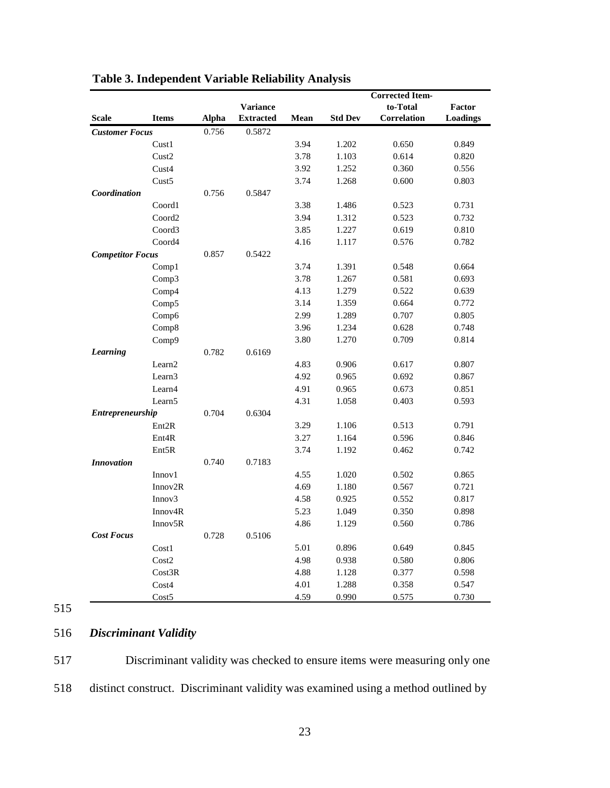| <b>Variance</b>                                                  |      |                | to-Total    |          |
|------------------------------------------------------------------|------|----------------|-------------|----------|
|                                                                  |      |                |             | Factor   |
| <b>Scale</b><br><b>Items</b><br><b>Alpha</b><br><b>Extracted</b> | Mean | <b>Std Dev</b> | Correlation | Loadings |
| 0.5872<br><b>Customer Focus</b><br>0.756                         |      |                |             |          |
| Cust1                                                            | 3.94 | 1.202          | 0.650       | 0.849    |
| Cust2                                                            | 3.78 | 1.103          | 0.614       | 0.820    |
| Cust4                                                            | 3.92 | 1.252          | 0.360       | 0.556    |
| Cust <sub>5</sub>                                                | 3.74 | 1.268          | 0.600       | 0.803    |
| Coordination<br>0.756<br>0.5847                                  |      |                |             |          |
| Coord1                                                           | 3.38 | 1.486          | 0.523       | 0.731    |
| Coord <sub>2</sub>                                               | 3.94 | 1.312          | 0.523       | 0.732    |
| Coord3                                                           | 3.85 | 1.227          | 0.619       | 0.810    |
| Coord4                                                           | 4.16 | 1.117          | 0.576       | 0.782    |
| <b>Competitor Focus</b><br>0.857<br>0.5422                       |      |                |             |          |
| Comp1                                                            | 3.74 | 1.391          | 0.548       | 0.664    |
| Comp3                                                            | 3.78 | 1.267          | 0.581       | 0.693    |
| Comp4                                                            | 4.13 | 1.279          | 0.522       | 0.639    |
| Comp5                                                            | 3.14 | 1.359          | 0.664       | 0.772    |
| Comp6                                                            | 2.99 | 1.289          | 0.707       | 0.805    |
| Comp8                                                            | 3.96 | 1.234          | 0.628       | 0.748    |
| Comp9                                                            | 3.80 | 1.270          | 0.709       | 0.814    |
| Learning<br>0.782<br>0.6169                                      |      |                |             |          |
| Learn2                                                           | 4.83 | 0.906          | 0.617       | 0.807    |
| Learn <sub>3</sub>                                               | 4.92 | 0.965          | 0.692       | 0.867    |
| Learn4                                                           | 4.91 | 0.965          | 0.673       | 0.851    |
| Learn <sub>5</sub>                                               | 4.31 | 1.058          | 0.403       | 0.593    |
| Entrepreneurship<br>0.704<br>0.6304                              |      |                |             |          |
| Ent <sub>2R</sub>                                                | 3.29 | 1.106          | 0.513       | 0.791    |
| Ent <sub>4</sub> R                                               | 3.27 | 1.164          | 0.596       | 0.846    |
| Ent5R                                                            | 3.74 | 1.192          | 0.462       | 0.742    |
| 0.7183<br><b>Innovation</b><br>0.740                             |      |                |             |          |
| Innov1                                                           | 4.55 | 1.020          | 0.502       | 0.865    |
| Innov2R                                                          | 4.69 | 1.180          | 0.567       | 0.721    |
| Innov <sub>3</sub>                                               | 4.58 | 0.925          | 0.552       | 0.817    |
| Innov <sub>4</sub> R                                             | 5.23 | 1.049          | 0.350       | 0.898    |
| Innov5R                                                          | 4.86 | 1.129          | 0.560       | 0.786    |
| <b>Cost Focus</b><br>0.728<br>0.5106                             |      |                |             |          |
| Cost1                                                            | 5.01 | 0.896          | 0.649       | 0.845    |
| Cost2                                                            | 4.98 | 0.938          | 0.580       | 0.806    |
| Cost3R                                                           | 4.88 | 1.128          | 0.377       | 0.598    |
| Cost4                                                            | 4.01 | 1.288          | 0.358       | 0.547    |
| Cost5                                                            | 4.59 | 0.990          | 0.575       | 0.730    |

## **Table 3. Independent Variable Reliability Analysis**

## 515

## 516 *Discriminant Validity*

517 Discriminant validity was checked to ensure items were measuring only one 518 distinct construct. Discriminant validity was examined using a method outlined by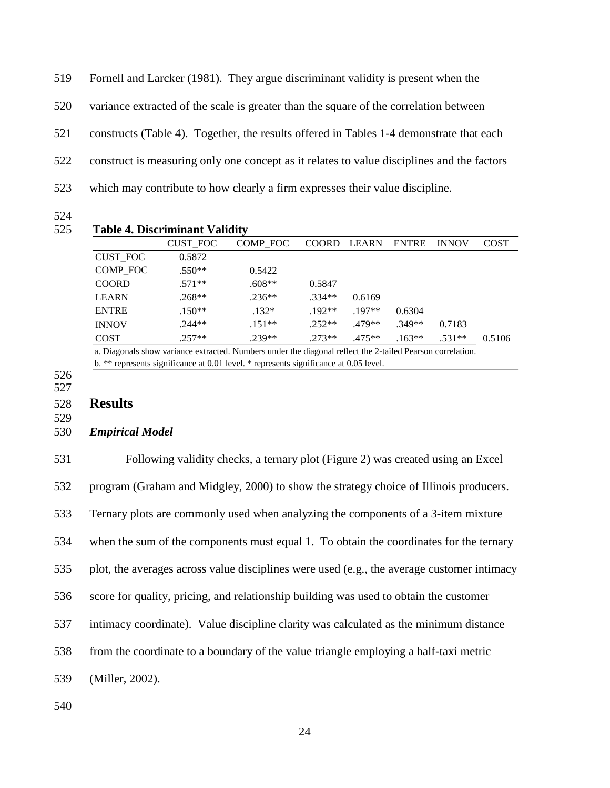519 Fornell and Larcker (1981). They argue discriminant validity is present when the 520 variance extracted of the scale is greater than the square of the correlation between 521 constructs (Table 4). Together, the results offered in Tables 1-4 demonstrate that each 522 construct is measuring only one concept as it relates to value disciplines and the factors 523 which may contribute to how clearly a firm expresses their value discipline.

524

|                 | <b>CUST_FOC</b> | COMP FOC | <b>COORD</b> | <b>LEARN</b> | <b>ENTRE</b> | <b>INNOV</b> | <b>COST</b> |
|-----------------|-----------------|----------|--------------|--------------|--------------|--------------|-------------|
| <b>CUST FOC</b> | 0.5872          |          |              |              |              |              |             |
| COMP FOC        | $.550**$        | 0.5422   |              |              |              |              |             |
| <b>COORD</b>    | $.571**$        | $.608**$ | 0.5847       |              |              |              |             |
| <b>LEARN</b>    | $.268**$        | $.236**$ | $.334**$     | 0.6169       |              |              |             |
| <b>ENTRE</b>    | $.150**$        | $.132*$  | $.192**$     | $.197**$     | 0.6304       |              |             |
| <b>INNOV</b>    | $.244**$        | $.151**$ | $.252**$     | $.479**$     | $.349**$     | 0.7183       |             |
| <b>COST</b>     | $.257**$        | $.239**$ | $.273**$     | $.475**$     | $.163**$     | $.531**$     | 0.5106      |

a. Diagonals show variance extracted. Numbers under the diagonal reflect the 2-tailed Pearson correlation. b. \*\* represents significance at 0.01 level. \* represents significance at 0.05 level.

526 527

528 **Results** 

529

#### 530 *Empirical Model*

531 Following validity checks, a ternary plot (Figure 2) was created using an Excel 532 program (Graham and Midgley, 2000) to show the strategy choice of Illinois producers. 533 Ternary plots are commonly used when analyzing the components of a 3-item mixture 534 when the sum of the components must equal 1. To obtain the coordinates for the ternary 535 plot, the averages across value disciplines were used (e.g., the average customer intimacy 536 score for quality, pricing, and relationship building was used to obtain the customer 537 intimacy coordinate). Value discipline clarity was calculated as the minimum distance 538 from the coordinate to a boundary of the value triangle employing a half-taxi metric 539 (Miller, 2002).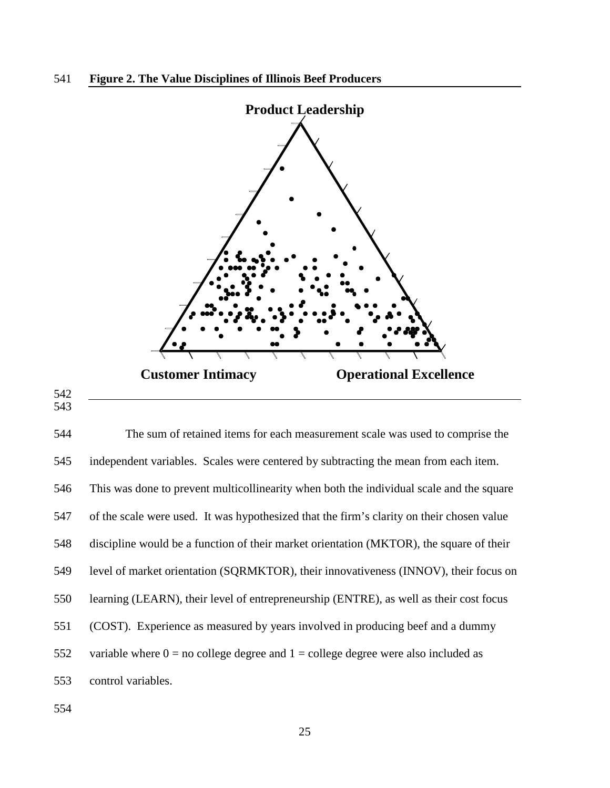

542 543

544 The sum of retained items for each measurement scale was used to comprise the 545 independent variables. Scales were centered by subtracting the mean from each item. 546 This was done to prevent multicollinearity when both the individual scale and the square 547 of the scale were used. It was hypothesized that the firm's clarity on their chosen value 548 discipline would be a function of their market orientation (MKTOR), the square of their 549 level of market orientation (SQRMKTOR), their innovativeness (INNOV), their focus on 550 learning (LEARN), their level of entrepreneurship (ENTRE), as well as their cost focus 551 (COST). Experience as measured by years involved in producing beef and a dummy 552 variable where  $0 = no$  college degree and  $1 =$  college degree were also included as 553 control variables.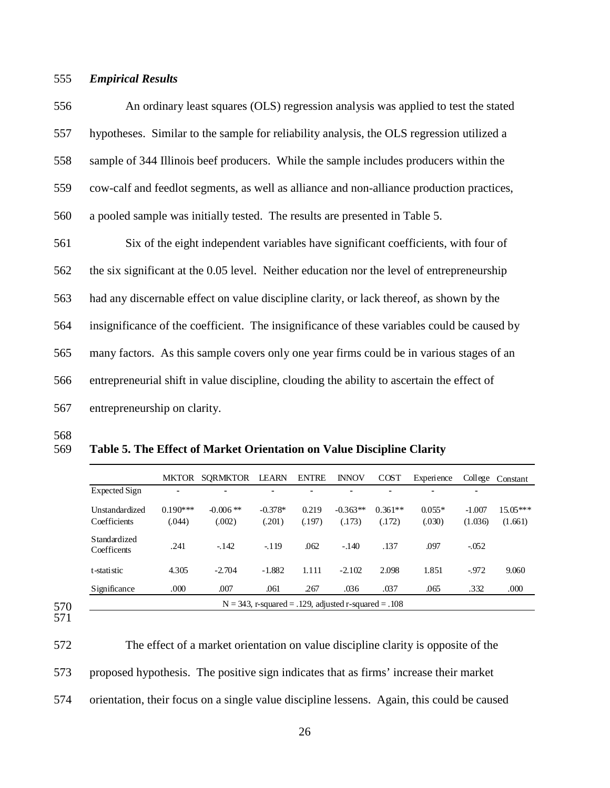#### 555 *Empirical Results*

556 An ordinary least squares (OLS) regression analysis was applied to test the stated 557 hypotheses. Similar to the sample for reliability analysis, the OLS regression utilized a 558 sample of 344 Illinois beef producers. While the sample includes producers within the 559 cow-calf and feedlot segments, as well as alliance and non-alliance production practices, 560 a pooled sample was initially tested. The results are presented in Table 5.

561 Six of the eight independent variables have significant coefficients, with four of 562 the six significant at the 0.05 level. Neither education nor the level of entrepreneurship 563 had any discernable effect on value discipline clarity, or lack thereof, as shown by the 564 insignificance of the coefficient. The insignificance of these variables could be caused by 565 many factors. As this sample covers only one year firms could be in various stages of an 566 entrepreneurial shift in value discipline, clouding the ability to ascertain the effect of 567 entrepreneurship on clarity.

568

#### 569 **Table 5. The Effect of Market Orientation on Value Discipline Clarity**

|                             | <b>MKTOR</b> | <b>SORMKTOR</b> | <b>LEARN</b> | <b>ENTRE</b> | <b>INNOV</b> | <b>COST</b>              | Experience |          | College Constant |
|-----------------------------|--------------|-----------------|--------------|--------------|--------------|--------------------------|------------|----------|------------------|
| Expected Sign               | ۰            | $\blacksquare$  |              | -            | ۰            | $\overline{\phantom{0}}$ | ۳          |          |                  |
| Unstandardized              | $0.190***$   | $-0.006$ **     | $-0.378*$    | 0.219        | $-0.363**$   | $0.361**$                | $0.055*$   | $-1.007$ | $15.05***$       |
| Coefficients                | (.044)       | (.002)          | (.201)       | (.197)       | (.173)       | (.172)                   | (.030)     | (1.036)  | (1.661)          |
| Standardized<br>Coefficents | .241         | $-142$          | $-119$       | .062         | $-.140$      | .137                     | .097       | $-.052$  |                  |
| t-statistic                 | 4.305        | $-2.704$        | $-1.882$     | 1.111        | $-2.102$     | 2.098                    | 1.851      | $-972$   | 9.060            |
| Significance                | .000         | .007            | .061         | .267         | .036         | .037                     | .065       | .332     | .000             |

<sup>571</sup> 

572 The effect of a market orientation on value discipline clarity is opposite of the 573 proposed hypothesis. The positive sign indicates that as firms' increase their market 574 orientation, their focus on a single value discipline lessens. Again, this could be caused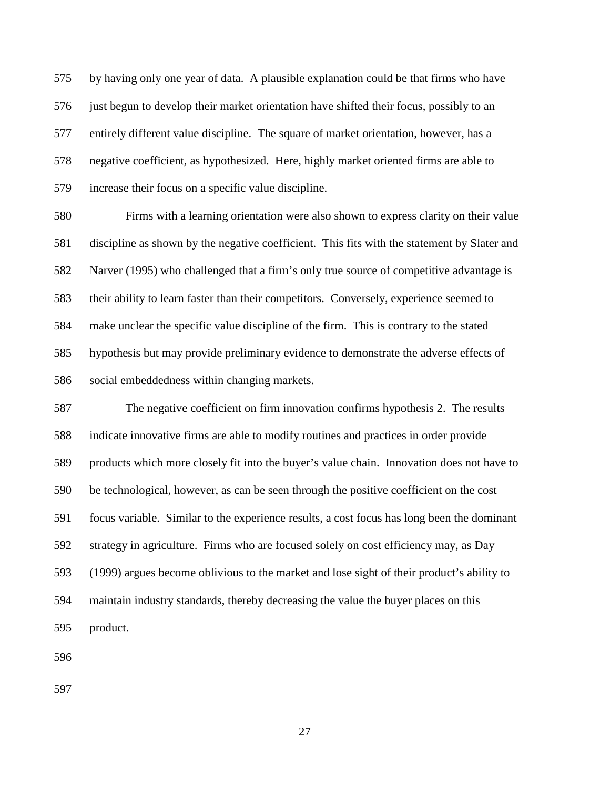575 by having only one year of data. A plausible explanation could be that firms who have 576 just begun to develop their market orientation have shifted their focus, possibly to an 577 entirely different value discipline. The square of market orientation, however, has a 578 negative coefficient, as hypothesized. Here, highly market oriented firms are able to 579 increase their focus on a specific value discipline.

580 Firms with a learning orientation were also shown to express clarity on their value 581 discipline as shown by the negative coefficient. This fits with the statement by Slater and 582 Narver (1995) who challenged that a firm's only true source of competitive advantage is 583 their ability to learn faster than their competitors. Conversely, experience seemed to 584 make unclear the specific value discipline of the firm. This is contrary to the stated 585 hypothesis but may provide preliminary evidence to demonstrate the adverse effects of 586 social embeddedness within changing markets.

587 The negative coefficient on firm innovation confirms hypothesis 2. The results 588 indicate innovative firms are able to modify routines and practices in order provide 589 products which more closely fit into the buyer's value chain. Innovation does not have to 590 be technological, however, as can be seen through the positive coefficient on the cost 591 focus variable. Similar to the experience results, a cost focus has long been the dominant 592 strategy in agriculture. Firms who are focused solely on cost efficiency may, as Day 593 (1999) argues become oblivious to the market and lose sight of their product's ability to 594 maintain industry standards, thereby decreasing the value the buyer places on this 595 product.

596

597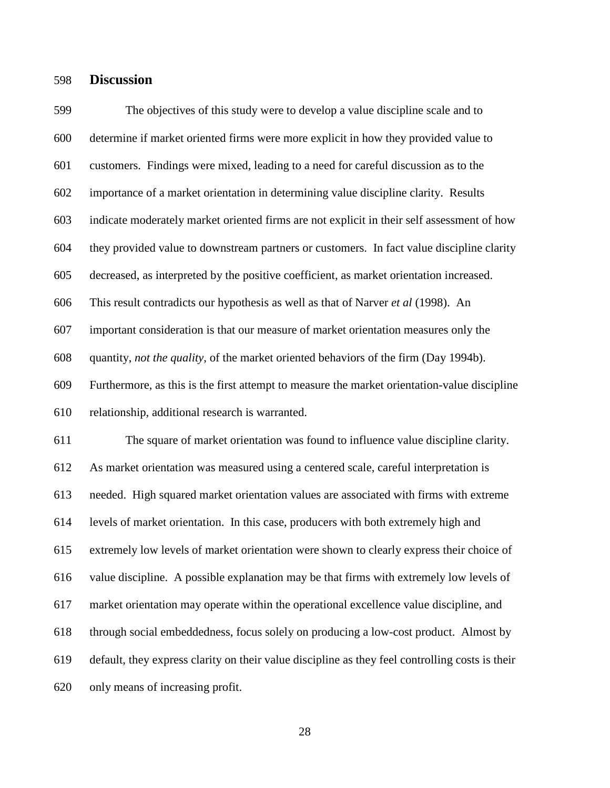### 598 **Discussion**

599 The objectives of this study were to develop a value discipline scale and to 600 determine if market oriented firms were more explicit in how they provided value to 601 customers. Findings were mixed, leading to a need for careful discussion as to the 602 importance of a market orientation in determining value discipline clarity. Results 603 indicate moderately market oriented firms are not explicit in their self assessment of how 604 they provided value to downstream partners or customers. In fact value discipline clarity 605 decreased, as interpreted by the positive coefficient, as market orientation increased. 606 This result contradicts our hypothesis as well as that of Narver *et al* (1998). An 607 important consideration is that our measure of market orientation measures only the 608 quantity, *not the quality*, of the market oriented behaviors of the firm (Day 1994b). 609 Furthermore, as this is the first attempt to measure the market orientation-value discipline 610 relationship, additional research is warranted. 611 The square of market orientation was found to influence value discipline clarity. 612 As market orientation was measured using a centered scale, careful interpretation is 613 needed. High squared market orientation values are associated with firms with extreme 614 levels of market orientation. In this case, producers with both extremely high and 615 extremely low levels of market orientation were shown to clearly express their choice of 616 value discipline. A possible explanation may be that firms with extremely low levels of 617 market orientation may operate within the operational excellence value discipline, and 618 through social embeddedness, focus solely on producing a low-cost product. Almost by 619 default, they express clarity on their value discipline as they feel controlling costs is their 620 only means of increasing profit.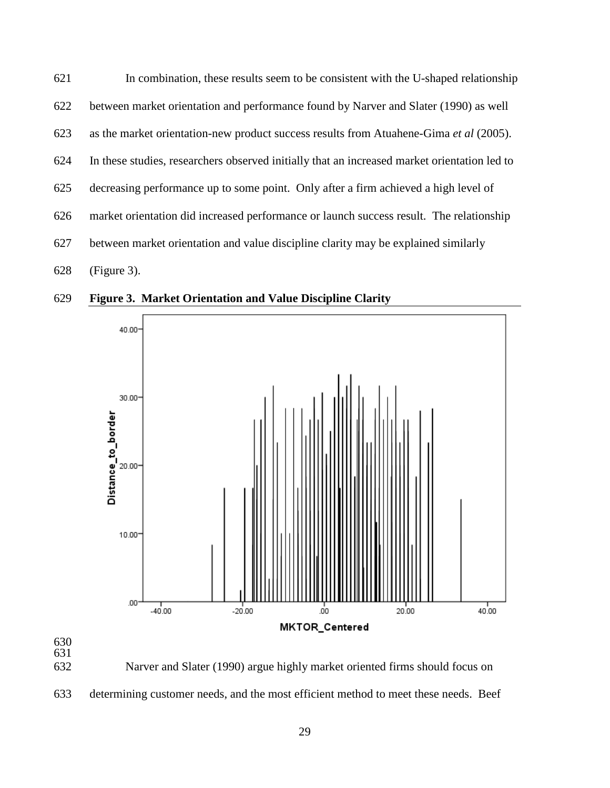| 621 | In combination, these results seem to be consistent with the U-shaped relationship           |
|-----|----------------------------------------------------------------------------------------------|
| 622 | between market orientation and performance found by Narver and Slater (1990) as well         |
| 623 | as the market orientation-new product success results from Atuahene-Gima et al (2005).       |
| 624 | In these studies, researchers observed initially that an increased market orientation led to |
| 625 | decreasing performance up to some point. Only after a firm achieved a high level of          |
| 626 | market orientation did increased performance or launch success result. The relationship      |
| 627 | between market orientation and value discipline clarity may be explained similarly           |
| 628 | $(Figure 3)$ .                                                                               |

629 **Figure 3. Market Orientation and Value Discipline Clarity** 



632 Narver and Slater (1990) argue highly market oriented firms should focus on

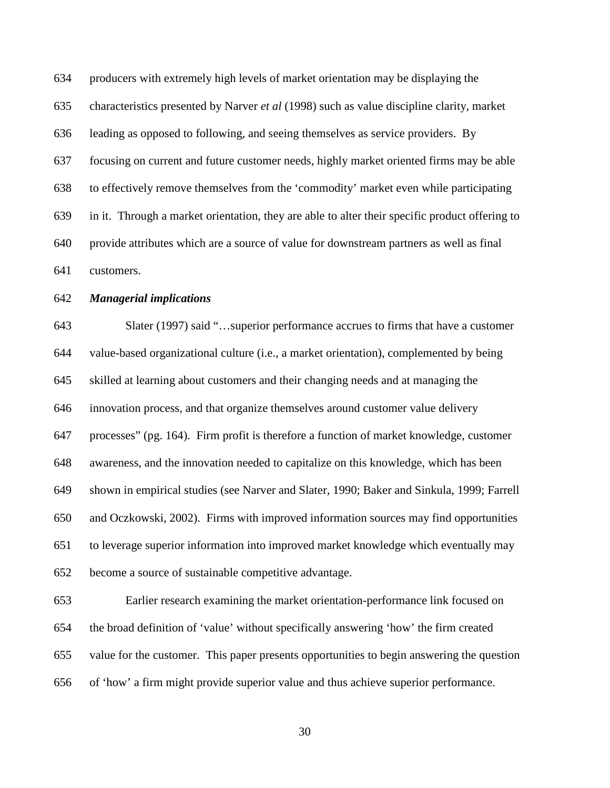634 producers with extremely high levels of market orientation may be displaying the 635 characteristics presented by Narver *et al* (1998) such as value discipline clarity, market 636 leading as opposed to following, and seeing themselves as service providers. By 637 focusing on current and future customer needs, highly market oriented firms may be able 638 to effectively remove themselves from the 'commodity' market even while participating 639 in it. Through a market orientation, they are able to alter their specific product offering to 640 provide attributes which are a source of value for downstream partners as well as final 641 customers.

#### 642 *Managerial implications*

643 Slater (1997) said "…superior performance accrues to firms that have a customer 644 value-based organizational culture (i.e., a market orientation), complemented by being 645 skilled at learning about customers and their changing needs and at managing the 646 innovation process, and that organize themselves around customer value delivery 647 processes" (pg. 164). Firm profit is therefore a function of market knowledge, customer 648 awareness, and the innovation needed to capitalize on this knowledge, which has been 649 shown in empirical studies (see Narver and Slater, 1990; Baker and Sinkula, 1999; Farrell 650 and Oczkowski, 2002). Firms with improved information sources may find opportunities 651 to leverage superior information into improved market knowledge which eventually may 652 become a source of sustainable competitive advantage.

653 Earlier research examining the market orientation-performance link focused on 654 the broad definition of 'value' without specifically answering 'how' the firm created 655 value for the customer. This paper presents opportunities to begin answering the question 656 of 'how' a firm might provide superior value and thus achieve superior performance.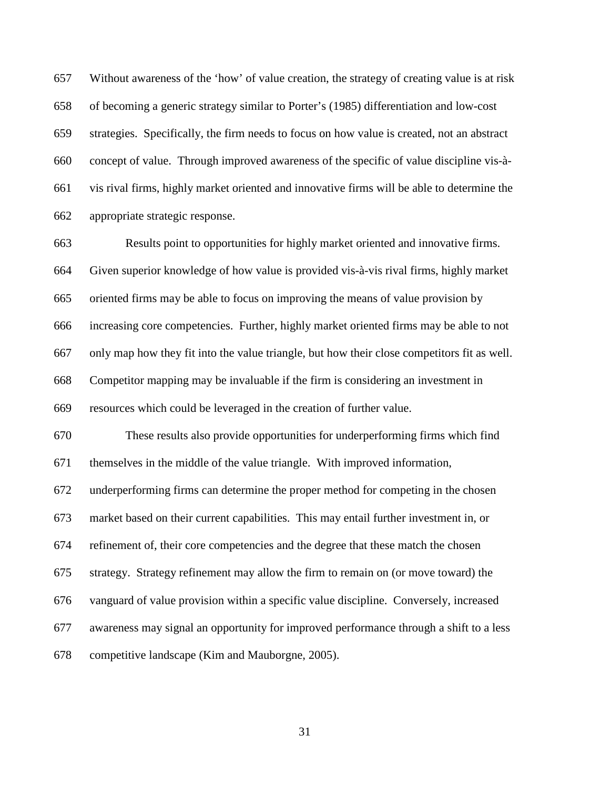657 Without awareness of the 'how' of value creation, the strategy of creating value is at risk 658 of becoming a generic strategy similar to Porter's (1985) differentiation and low-cost 659 strategies. Specifically, the firm needs to focus on how value is created, not an abstract 660 concept of value. Through improved awareness of the specific of value discipline vis-à-661 vis rival firms, highly market oriented and innovative firms will be able to determine the 662 appropriate strategic response.

663 Results point to opportunities for highly market oriented and innovative firms. 664 Given superior knowledge of how value is provided vis-à-vis rival firms, highly market 665 oriented firms may be able to focus on improving the means of value provision by 666 increasing core competencies. Further, highly market oriented firms may be able to not 667 only map how they fit into the value triangle, but how their close competitors fit as well. 668 Competitor mapping may be invaluable if the firm is considering an investment in 669 resources which could be leveraged in the creation of further value.

670 These results also provide opportunities for underperforming firms which find 671 themselves in the middle of the value triangle. With improved information,

672 underperforming firms can determine the proper method for competing in the chosen

673 market based on their current capabilities. This may entail further investment in, or

674 refinement of, their core competencies and the degree that these match the chosen

675 strategy. Strategy refinement may allow the firm to remain on (or move toward) the

676 vanguard of value provision within a specific value discipline. Conversely, increased

677 awareness may signal an opportunity for improved performance through a shift to a less

678 competitive landscape (Kim and Mauborgne, 2005).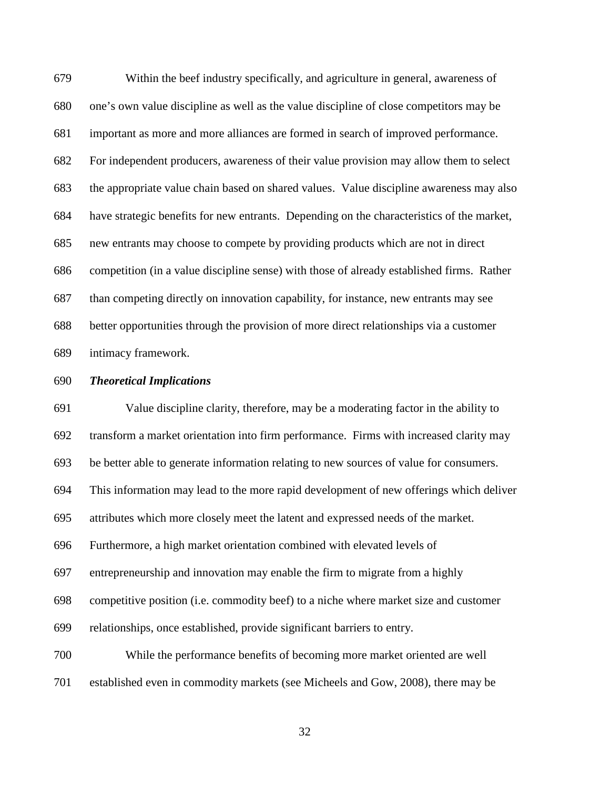679 Within the beef industry specifically, and agriculture in general, awareness of 680 one's own value discipline as well as the value discipline of close competitors may be 681 important as more and more alliances are formed in search of improved performance. 682 For independent producers, awareness of their value provision may allow them to select 683 the appropriate value chain based on shared values. Value discipline awareness may also 684 have strategic benefits for new entrants. Depending on the characteristics of the market, 685 new entrants may choose to compete by providing products which are not in direct 686 competition (in a value discipline sense) with those of already established firms. Rather 687 than competing directly on innovation capability, for instance, new entrants may see 688 better opportunities through the provision of more direct relationships via a customer 689 intimacy framework.

#### 690 *Theoretical Implications*

691 Value discipline clarity, therefore, may be a moderating factor in the ability to 692 transform a market orientation into firm performance. Firms with increased clarity may 693 be better able to generate information relating to new sources of value for consumers. 694 This information may lead to the more rapid development of new offerings which deliver 695 attributes which more closely meet the latent and expressed needs of the market. 696 Furthermore, a high market orientation combined with elevated levels of 697 entrepreneurship and innovation may enable the firm to migrate from a highly 698 competitive position (i.e. commodity beef) to a niche where market size and customer 699 relationships, once established, provide significant barriers to entry. 700 While the performance benefits of becoming more market oriented are well 701 established even in commodity markets (see Micheels and Gow, 2008), there may be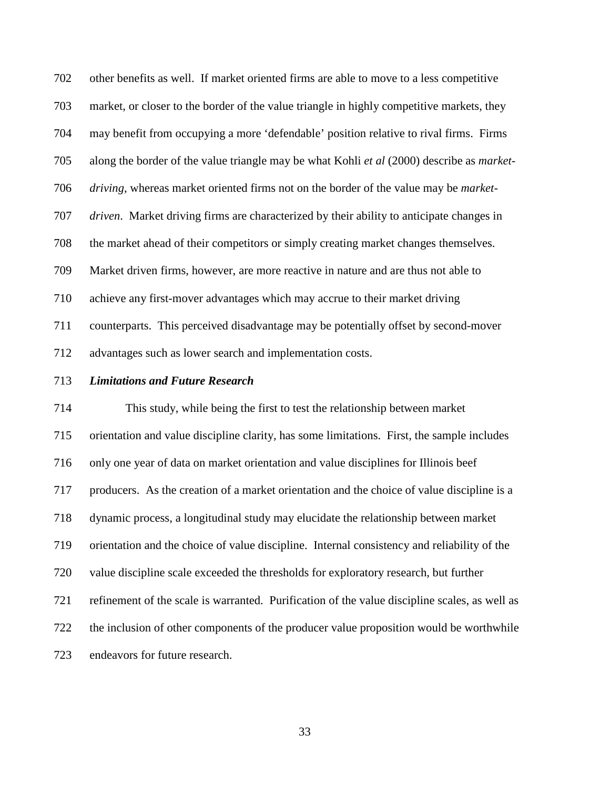702 other benefits as well. If market oriented firms are able to move to a less competitive 703 market, or closer to the border of the value triangle in highly competitive markets, they 704 may benefit from occupying a more 'defendable' position relative to rival firms. Firms 705 along the border of the value triangle may be what Kohli *et al* (2000) describe as *market-*706 *driving*, whereas market oriented firms not on the border of the value may be *market-*707 *driven*. Market driving firms are characterized by their ability to anticipate changes in 708 the market ahead of their competitors or simply creating market changes themselves. 709 Market driven firms, however, are more reactive in nature and are thus not able to 710 achieve any first-mover advantages which may accrue to their market driving 711 counterparts. This perceived disadvantage may be potentially offset by second-mover 712 advantages such as lower search and implementation costs.

### 713 *Limitations and Future Research*

714 This study, while being the first to test the relationship between market 715 orientation and value discipline clarity, has some limitations. First, the sample includes 716 only one year of data on market orientation and value disciplines for Illinois beef 717 producers. As the creation of a market orientation and the choice of value discipline is a 718 dynamic process, a longitudinal study may elucidate the relationship between market 719 orientation and the choice of value discipline. Internal consistency and reliability of the 720 value discipline scale exceeded the thresholds for exploratory research, but further 721 refinement of the scale is warranted. Purification of the value discipline scales, as well as 722 the inclusion of other components of the producer value proposition would be worthwhile 723 endeavors for future research.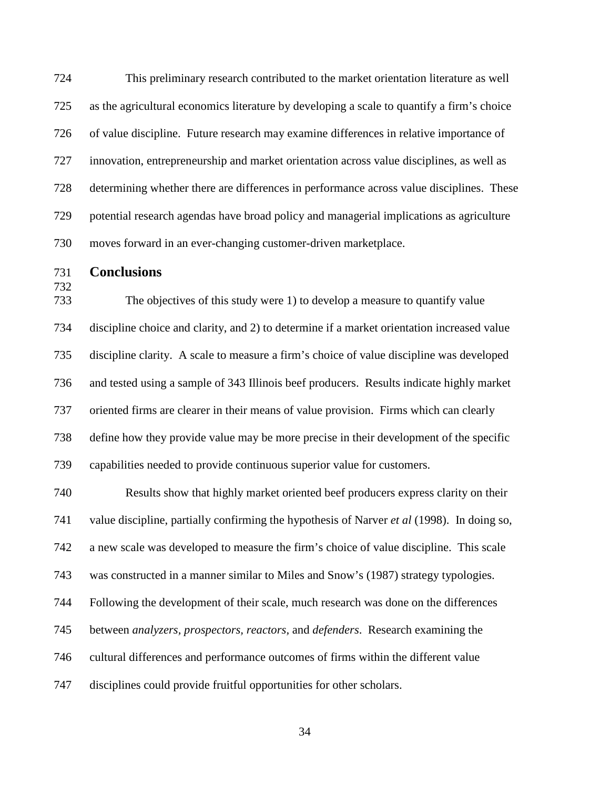724 This preliminary research contributed to the market orientation literature as well 725 as the agricultural economics literature by developing a scale to quantify a firm's choice 726 of value discipline. Future research may examine differences in relative importance of 727 innovation, entrepreneurship and market orientation across value disciplines, as well as 728 determining whether there are differences in performance across value disciplines. These 729 potential research agendas have broad policy and managerial implications as agriculture 730 moves forward in an ever-changing customer-driven marketplace.

731 **Conclusions** 

732

733 The objectives of this study were 1) to develop a measure to quantify value 734 discipline choice and clarity, and 2) to determine if a market orientation increased value 735 discipline clarity. A scale to measure a firm's choice of value discipline was developed 736 and tested using a sample of 343 Illinois beef producers. Results indicate highly market 737 oriented firms are clearer in their means of value provision. Firms which can clearly 738 define how they provide value may be more precise in their development of the specific 739 capabilities needed to provide continuous superior value for customers.

740 Results show that highly market oriented beef producers express clarity on their 741 value discipline, partially confirming the hypothesis of Narver *et al* (1998). In doing so, 742 a new scale was developed to measure the firm's choice of value discipline. This scale 743 was constructed in a manner similar to Miles and Snow's (1987) strategy typologies. 744 Following the development of their scale, much research was done on the differences 745 between *analyzers, prospectors, reactors,* and *defenders*. Research examining the 746 cultural differences and performance outcomes of firms within the different value 747 disciplines could provide fruitful opportunities for other scholars.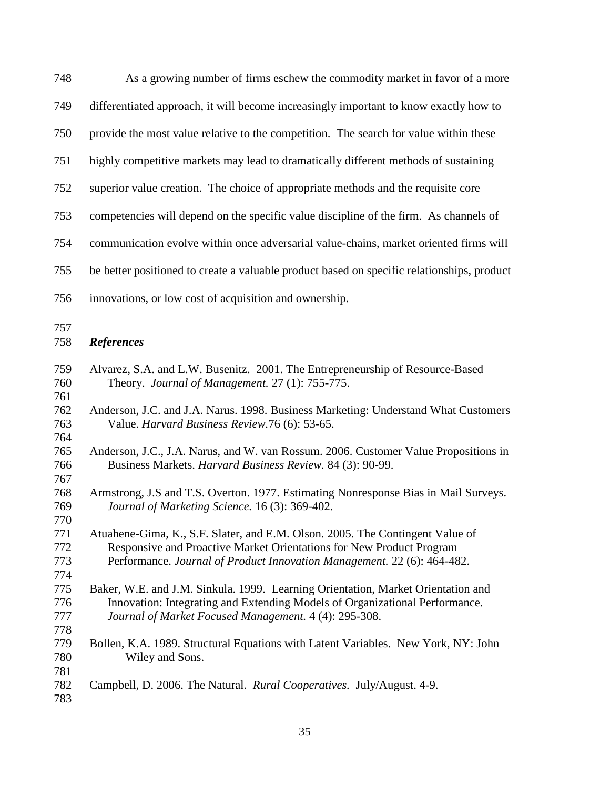| 748                      | As a growing number of firms eschew the commodity market in favor of a more                                                                                                                                                      |  |  |  |  |  |
|--------------------------|----------------------------------------------------------------------------------------------------------------------------------------------------------------------------------------------------------------------------------|--|--|--|--|--|
| 749                      | differentiated approach, it will become increasingly important to know exactly how to                                                                                                                                            |  |  |  |  |  |
| 750                      | provide the most value relative to the competition. The search for value within these                                                                                                                                            |  |  |  |  |  |
| 751                      | highly competitive markets may lead to dramatically different methods of sustaining                                                                                                                                              |  |  |  |  |  |
| 752                      | superior value creation. The choice of appropriate methods and the requisite core                                                                                                                                                |  |  |  |  |  |
| 753                      | competencies will depend on the specific value discipline of the firm. As channels of                                                                                                                                            |  |  |  |  |  |
| 754                      | communication evolve within once adversarial value-chains, market oriented firms will                                                                                                                                            |  |  |  |  |  |
| 755                      | be better positioned to create a valuable product based on specific relationships, product                                                                                                                                       |  |  |  |  |  |
| 756                      | innovations, or low cost of acquisition and ownership.                                                                                                                                                                           |  |  |  |  |  |
| 757<br>758               | <b>References</b>                                                                                                                                                                                                                |  |  |  |  |  |
| 759<br>760               | Alvarez, S.A. and L.W. Busenitz. 2001. The Entrepreneurship of Resource-Based<br>Theory. Journal of Management. 27 (1): 755-775.                                                                                                 |  |  |  |  |  |
| 761<br>762<br>763        | Anderson, J.C. and J.A. Narus. 1998. Business Marketing: Understand What Customers<br>Value. Harvard Business Review.76 (6): 53-65.                                                                                              |  |  |  |  |  |
| 764<br>765<br>766        | Anderson, J.C., J.A. Narus, and W. van Rossum. 2006. Customer Value Propositions in<br>Business Markets. Harvard Business Review. 84 (3): 90-99.                                                                                 |  |  |  |  |  |
| 767<br>768<br>769<br>770 | Armstrong, J.S and T.S. Overton. 1977. Estimating Nonresponse Bias in Mail Surveys.<br>Journal of Marketing Science. 16 (3): 369-402.                                                                                            |  |  |  |  |  |
| 771<br>772<br>773<br>774 | Atuahene-Gima, K., S.F. Slater, and E.M. Olson. 2005. The Contingent Value of<br>Responsive and Proactive Market Orientations for New Product Program<br>Performance. Journal of Product Innovation Management. 22 (6): 464-482. |  |  |  |  |  |
| 775<br>776<br>777<br>778 | Baker, W.E. and J.M. Sinkula. 1999. Learning Orientation, Market Orientation and<br>Innovation: Integrating and Extending Models of Organizational Performance.<br>Journal of Market Focused Management. 4 (4): 295-308.         |  |  |  |  |  |
| 779<br>780               | Bollen, K.A. 1989. Structural Equations with Latent Variables. New York, NY: John<br>Wiley and Sons.                                                                                                                             |  |  |  |  |  |
| 781<br>782<br>783        | Campbell, D. 2006. The Natural. Rural Cooperatives. July/August. 4-9.                                                                                                                                                            |  |  |  |  |  |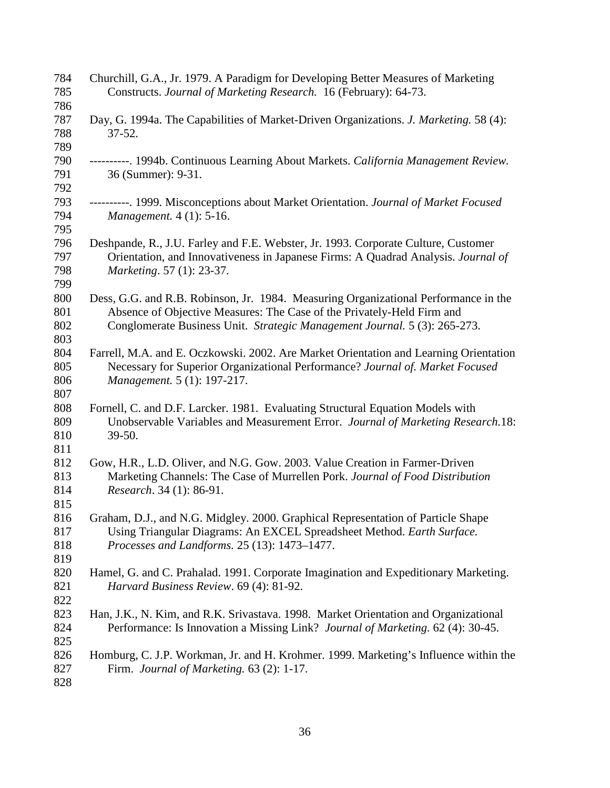| 784<br>785 | Churchill, G.A., Jr. 1979. A Paradigm for Developing Better Measures of Marketing<br>Constructs. Journal of Marketing Research. 16 (February): 64-73. |
|------------|-------------------------------------------------------------------------------------------------------------------------------------------------------|
| 786        |                                                                                                                                                       |
| 787        | Day, G. 1994a. The Capabilities of Market-Driven Organizations. J. Marketing. 58 (4):                                                                 |
| 788        | $37 - 52.$                                                                                                                                            |
| 789        |                                                                                                                                                       |
| 790        | ----------. 1994b. Continuous Learning About Markets. California Management Review.                                                                   |
| 791        | 36 (Summer): 9-31.                                                                                                                                    |
| 792        |                                                                                                                                                       |
| 793        | ----------. 1999. Misconceptions about Market Orientation. Journal of Market Focused                                                                  |
| 794        | <i>Management.</i> 4 (1): 5-16.                                                                                                                       |
| 795        |                                                                                                                                                       |
| 796        | Deshpande, R., J.U. Farley and F.E. Webster, Jr. 1993. Corporate Culture, Customer                                                                    |
| 797        | Orientation, and Innovativeness in Japanese Firms: A Quadrad Analysis. Journal of                                                                     |
| 798        | Marketing. 57 (1): 23-37.                                                                                                                             |
| 799        |                                                                                                                                                       |
| 800        | Dess, G.G. and R.B. Robinson, Jr. 1984. Measuring Organizational Performance in the                                                                   |
| 801        | Absence of Objective Measures: The Case of the Privately-Held Firm and                                                                                |
| 802        | Conglomerate Business Unit. Strategic Management Journal. 5 (3): 265-273.                                                                             |
| 803        |                                                                                                                                                       |
| 804        | Farrell, M.A. and E. Oczkowski. 2002. Are Market Orientation and Learning Orientation                                                                 |
| 805        | Necessary for Superior Organizational Performance? Journal of. Market Focused                                                                         |
| 806        | Management. 5 (1): 197-217.                                                                                                                           |
| 807        |                                                                                                                                                       |
| 808        | Fornell, C. and D.F. Larcker. 1981. Evaluating Structural Equation Models with                                                                        |
| 809        | Unobservable Variables and Measurement Error. Journal of Marketing Research.18:                                                                       |
| 810        | 39-50.                                                                                                                                                |
| 811        |                                                                                                                                                       |
| 812        | Gow, H.R., L.D. Oliver, and N.G. Gow. 2003. Value Creation in Farmer-Driven                                                                           |
| 813        | Marketing Channels: The Case of Murrellen Pork. Journal of Food Distribution                                                                          |
| 814        | Research. 34 (1): 86-91.                                                                                                                              |
| 815        |                                                                                                                                                       |
| 816        | Graham, D.J., and N.G. Midgley. 2000. Graphical Representation of Particle Shape                                                                      |
| 817        | Using Triangular Diagrams: An EXCEL Spreadsheet Method. Earth Surface.                                                                                |
| 818        | Processes and Landforms. 25 (13): 1473-1477.                                                                                                          |
| 819        |                                                                                                                                                       |
| 820        | Hamel, G. and C. Prahalad. 1991. Corporate Imagination and Expeditionary Marketing.                                                                   |
| 821        | Harvard Business Review. 69 (4): 81-92.                                                                                                               |
| 822        |                                                                                                                                                       |
| 823        | Han, J.K., N. Kim, and R.K. Srivastava. 1998. Market Orientation and Organizational                                                                   |
| 824        | Performance: Is Innovation a Missing Link? Journal of Marketing. 62 (4): 30-45.                                                                       |
| 825        |                                                                                                                                                       |
| 826        | Homburg, C. J.P. Workman, Jr. and H. Krohmer. 1999. Marketing's Influence within the                                                                  |
| 827        | Firm. Journal of Marketing. 63 (2): 1-17.                                                                                                             |
| 828        |                                                                                                                                                       |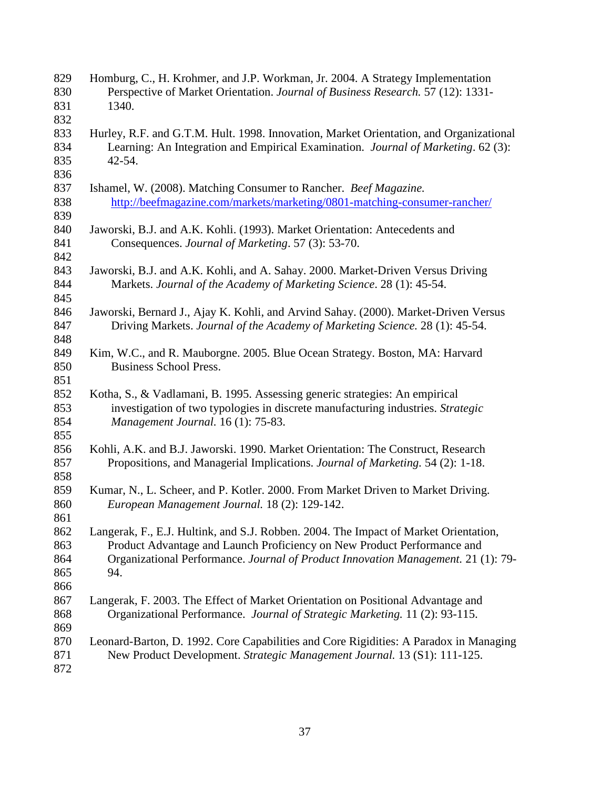| 829<br>830                      | Homburg, C., H. Krohmer, and J.P. Workman, Jr. 2004. A Strategy Implementation<br>Perspective of Market Orientation. Journal of Business Research. 57 (12): 1331-                                                                                           |
|---------------------------------|-------------------------------------------------------------------------------------------------------------------------------------------------------------------------------------------------------------------------------------------------------------|
| 831<br>832                      | 1340.                                                                                                                                                                                                                                                       |
| 833<br>834<br>835<br>836        | Hurley, R.F. and G.T.M. Hult. 1998. Innovation, Market Orientation, and Organizational<br>Learning: An Integration and Empirical Examination. <i>Journal of Marketing</i> . 62(3):<br>$42 - 54.$                                                            |
| 837<br>838                      | Ishamel, W. (2008). Matching Consumer to Rancher. Beef Magazine.<br>http://beefmagazine.com/markets/marketing/0801-matching-consumer-rancher/                                                                                                               |
| 839<br>840<br>841<br>842        | Jaworski, B.J. and A.K. Kohli. (1993). Market Orientation: Antecedents and<br>Consequences. Journal of Marketing. 57 (3): 53-70.                                                                                                                            |
| 843<br>844<br>845               | Jaworski, B.J. and A.K. Kohli, and A. Sahay. 2000. Market-Driven Versus Driving<br>Markets. Journal of the Academy of Marketing Science. 28 (1): 45-54.                                                                                                     |
| 846<br>847<br>848               | Jaworski, Bernard J., Ajay K. Kohli, and Arvind Sahay. (2000). Market-Driven Versus<br>Driving Markets. Journal of the Academy of Marketing Science. 28 (1): 45-54.                                                                                         |
| 849<br>850<br>851               | Kim, W.C., and R. Mauborgne. 2005. Blue Ocean Strategy. Boston, MA: Harvard<br><b>Business School Press.</b>                                                                                                                                                |
| 852<br>853<br>854<br>855        | Kotha, S., & Vadlamani, B. 1995. Assessing generic strategies: An empirical<br>investigation of two typologies in discrete manufacturing industries. Strategic<br>Management Journal. 16 (1): 75-83.                                                        |
| 856<br>857<br>858               | Kohli, A.K. and B.J. Jaworski. 1990. Market Orientation: The Construct, Research<br>Propositions, and Managerial Implications. Journal of Marketing. 54 (2): 1-18.                                                                                          |
| 859<br>860<br>861               | Kumar, N., L. Scheer, and P. Kotler. 2000. From Market Driven to Market Driving.<br>European Management Journal. 18 (2): 129-142.                                                                                                                           |
| 862<br>863<br>864<br>865<br>866 | Langerak, F., E.J. Hultink, and S.J. Robben. 2004. The Impact of Market Orientation,<br>Product Advantage and Launch Proficiency on New Product Performance and<br>Organizational Performance. Journal of Product Innovation Management. 21 (1): 79-<br>94. |
| 867<br>868<br>869               | Langerak, F. 2003. The Effect of Market Orientation on Positional Advantage and<br>Organizational Performance. Journal of Strategic Marketing. 11 (2): 93-115.                                                                                              |
| 870<br>871<br>872               | Leonard-Barton, D. 1992. Core Capabilities and Core Rigidities: A Paradox in Managing<br>New Product Development. Strategic Management Journal. 13 (S1): 111-125.                                                                                           |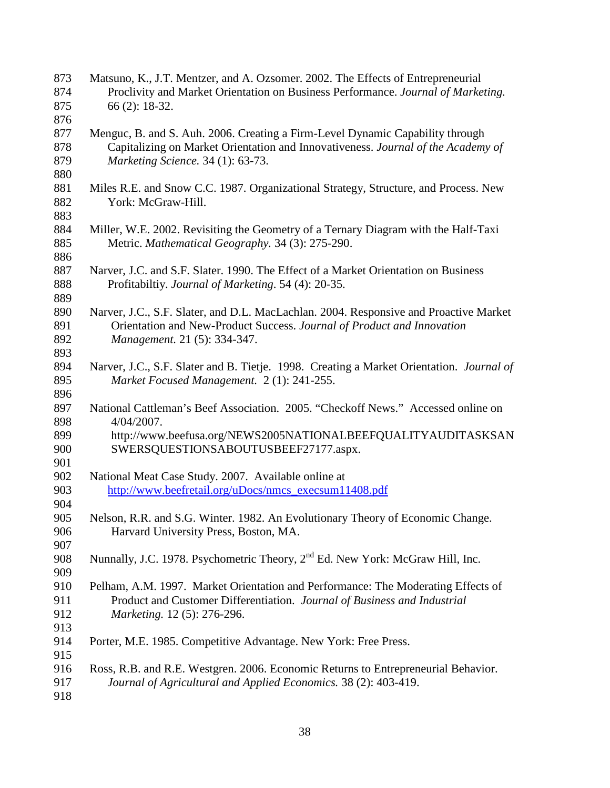| 873 | Matsuno, K., J.T. Mentzer, and A. Ozsomer. 2002. The Effects of Entrepreneurial           |
|-----|-------------------------------------------------------------------------------------------|
| 874 | Proclivity and Market Orientation on Business Performance. Journal of Marketing.          |
| 875 | 66 (2): 18-32.                                                                            |
| 876 |                                                                                           |
| 877 | Menguc, B. and S. Auh. 2006. Creating a Firm-Level Dynamic Capability through             |
| 878 | Capitalizing on Market Orientation and Innovativeness. Journal of the Academy of          |
| 879 | Marketing Science. 34 (1): 63-73.                                                         |
| 880 |                                                                                           |
| 881 | Miles R.E. and Snow C.C. 1987. Organizational Strategy, Structure, and Process. New       |
| 882 | York: McGraw-Hill.                                                                        |
| 883 |                                                                                           |
| 884 | Miller, W.E. 2002. Revisiting the Geometry of a Ternary Diagram with the Half-Taxi        |
| 885 | Metric. Mathematical Geography. 34 (3): 275-290.                                          |
| 886 |                                                                                           |
| 887 | Narver, J.C. and S.F. Slater. 1990. The Effect of a Market Orientation on Business        |
| 888 | Profitabiltiy. Journal of Marketing. 54 (4): 20-35.                                       |
| 889 |                                                                                           |
| 890 | Narver, J.C., S.F. Slater, and D.L. MacLachlan. 2004. Responsive and Proactive Market     |
| 891 | Orientation and New-Product Success. Journal of Product and Innovation                    |
| 892 | Management. 21 (5): 334-347.                                                              |
| 893 |                                                                                           |
|     |                                                                                           |
| 894 | Narver, J.C., S.F. Slater and B. Tietje. 1998. Creating a Market Orientation. Journal of  |
| 895 | Market Focused Management. 2 (1): 241-255.                                                |
| 896 |                                                                                           |
| 897 | National Cattleman's Beef Association. 2005. "Checkoff News." Accessed online on          |
| 898 | 4/04/2007.                                                                                |
| 899 | http://www.beefusa.org/NEWS2005NATIONALBEEFQUALITYAUDITASKSAN                             |
| 900 | SWERSQUESTIONSABOUTUSBEEF27177.aspx.                                                      |
| 901 |                                                                                           |
| 902 | National Meat Case Study. 2007. Available online at                                       |
| 903 | http://www.beefretail.org/uDocs/nmcs_execsum11408.pdf                                     |
| 904 |                                                                                           |
| 905 | Nelson, R.R. and S.G. Winter. 1982. An Evolutionary Theory of Economic Change.            |
| 906 | Harvard University Press, Boston, MA.                                                     |
| 907 |                                                                                           |
| 908 | Nunnally, J.C. 1978. Psychometric Theory, 2 <sup>nd</sup> Ed. New York: McGraw Hill, Inc. |
| 909 |                                                                                           |
| 910 | Pelham, A.M. 1997. Market Orientation and Performance: The Moderating Effects of          |
| 911 | Product and Customer Differentiation. Journal of Business and Industrial                  |
| 912 | Marketing. 12 (5): 276-296.                                                               |
| 913 |                                                                                           |
| 914 | Porter, M.E. 1985. Competitive Advantage. New York: Free Press.                           |
| 915 |                                                                                           |
| 916 | Ross, R.B. and R.E. Westgren. 2006. Economic Returns to Entrepreneurial Behavior.         |
| 917 | Journal of Agricultural and Applied Economics. 38 (2): 403-419.                           |
| 918 |                                                                                           |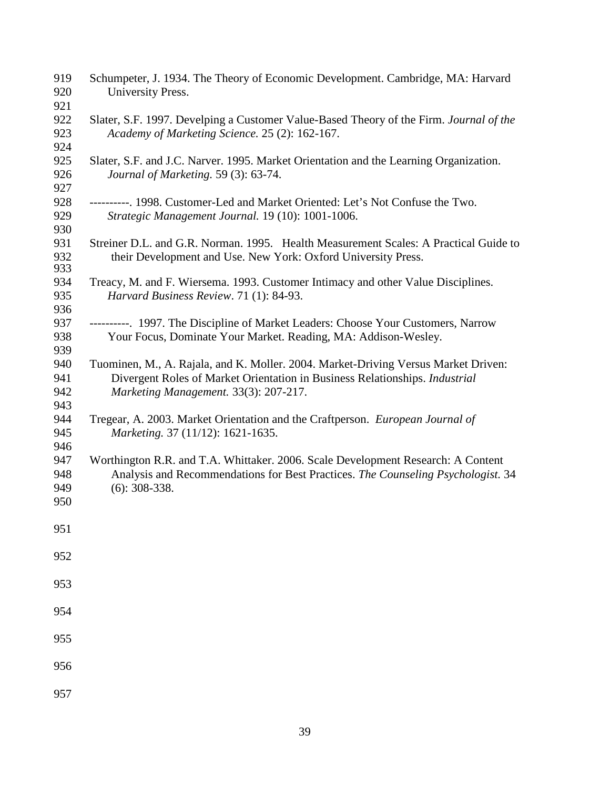| 919<br>920<br>921        | Schumpeter, J. 1934. The Theory of Economic Development. Cambridge, MA: Harvard<br>University Press.                                                                                                       |
|--------------------------|------------------------------------------------------------------------------------------------------------------------------------------------------------------------------------------------------------|
| 922                      | Slater, S.F. 1997. Develping a Customer Value-Based Theory of the Firm. Journal of the                                                                                                                     |
| 923<br>924               | Academy of Marketing Science. 25 (2): 162-167.                                                                                                                                                             |
| 925<br>926<br>927        | Slater, S.F. and J.C. Narver. 1995. Market Orientation and the Learning Organization.<br>Journal of Marketing. 59 (3): 63-74.                                                                              |
| 928<br>929<br>930        | ----------. 1998. Customer-Led and Market Oriented: Let's Not Confuse the Two.<br>Strategic Management Journal. 19 (10): 1001-1006.                                                                        |
| 931<br>932<br>933        | Streiner D.L. and G.R. Norman. 1995. Health Measurement Scales: A Practical Guide to<br>their Development and Use. New York: Oxford University Press.                                                      |
| 934<br>935               | Treacy, M. and F. Wiersema. 1993. Customer Intimacy and other Value Disciplines.<br>Harvard Business Review. 71 (1): 84-93.                                                                                |
| 936<br>937<br>938<br>939 | ----------. 1997. The Discipline of Market Leaders: Choose Your Customers, Narrow<br>Your Focus, Dominate Your Market. Reading, MA: Addison-Wesley.                                                        |
| 940<br>941<br>942<br>943 | Tuominen, M., A. Rajala, and K. Moller. 2004. Market-Driving Versus Market Driven:<br>Divergent Roles of Market Orientation in Business Relationships. Industrial<br>Marketing Management. 33(3): 207-217. |
| 944<br>945<br>946        | Tregear, A. 2003. Market Orientation and the Craftperson. European Journal of<br>Marketing. 37 (11/12): 1621-1635.                                                                                         |
| 947<br>948<br>949        | Worthington R.R. and T.A. Whittaker. 2006. Scale Development Research: A Content<br>Analysis and Recommendations for Best Practices. The Counseling Psychologist. 34<br>$(6)$ : 308-338.                   |
| 950                      |                                                                                                                                                                                                            |
| 951                      |                                                                                                                                                                                                            |
| 952                      |                                                                                                                                                                                                            |
| 953                      |                                                                                                                                                                                                            |
| 954                      |                                                                                                                                                                                                            |
| 955                      |                                                                                                                                                                                                            |
| 956                      |                                                                                                                                                                                                            |
| 957                      |                                                                                                                                                                                                            |